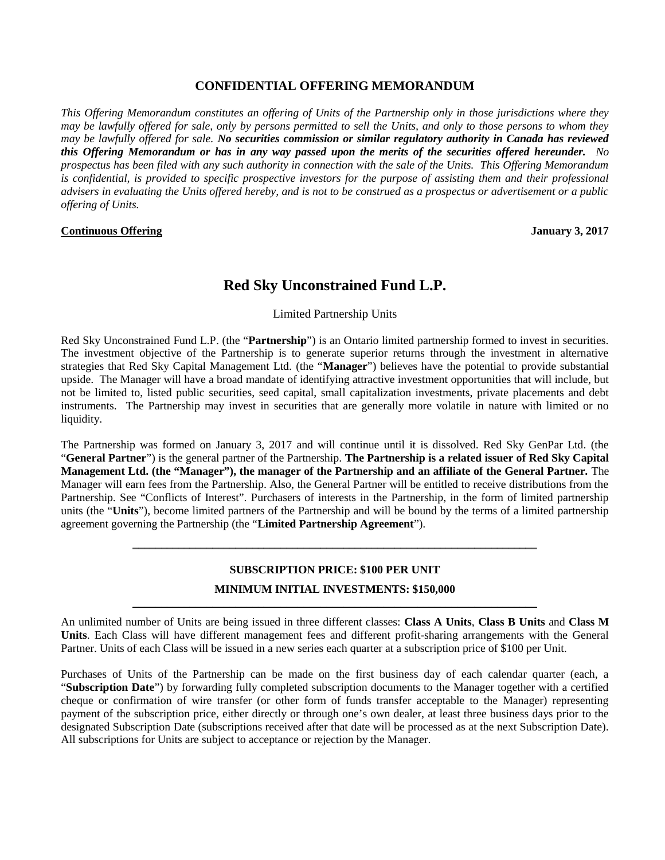## **CONFIDENTIAL OFFERING MEMORANDUM**

*This Offering Memorandum constitutes an offering of Units of the Partnership only in those jurisdictions where they may be lawfully offered for sale, only by persons permitted to sell the Units, and only to those persons to whom they may be lawfully offered for sale. No securities commission or similar regulatory authority in Canada has reviewed this Offering Memorandum or has in any way passed upon the merits of the securities offered hereunder. No prospectus has been filed with any such authority in connection with the sale of the Units. This Offering Memorandum is confidential, is provided to specific prospective investors for the purpose of assisting them and their professional advisers in evaluating the Units offered hereby, and is not to be construed as a prospectus or advertisement or a public offering of Units.*

#### **Continuous Offering January 3, 2017**

# **Red Sky Unconstrained Fund L.P.**

Limited Partnership Units

Red Sky Unconstrained Fund L.P. (the "**Partnership**") is an Ontario limited partnership formed to invest in securities. The investment objective of the Partnership is to generate superior returns through the investment in alternative strategies that Red Sky Capital Management Ltd. (the "**Manager**") believes have the potential to provide substantial upside. The Manager will have a broad mandate of identifying attractive investment opportunities that will include, but not be limited to, listed public securities, seed capital, small capitalization investments, private placements and debt instruments. The Partnership may invest in securities that are generally more volatile in nature with limited or no liquidity.

The Partnership was formed on January 3, 2017 and will continue until it is dissolved. Red Sky GenPar Ltd. (the "**General Partner**") is the general partner of the Partnership. **The Partnership is a related issuer of Red Sky Capital Management Ltd. (the "Manager"), the manager of the Partnership and an affiliate of the General Partner.** The Manager will earn fees from the Partnership. Also, the General Partner will be entitled to receive distributions from the Partnership. See "Conflicts of Interest". Purchasers of interests in the Partnership, in the form of limited partnership units (the "**Units**"), become limited partners of the Partnership and will be bound by the terms of a limited partnership agreement governing the Partnership (the "**Limited Partnership Agreement**").

# **SUBSCRIPTION PRICE: \$100 PER UNIT MINIMUM INITIAL INVESTMENTS: \$150,000**

\_\_\_\_\_\_\_\_\_\_\_\_\_\_\_\_\_\_\_\_\_\_\_\_\_\_\_\_\_\_\_\_\_\_\_\_\_\_\_\_\_\_\_\_\_\_\_\_\_\_\_\_\_\_\_\_\_\_\_\_\_\_\_\_\_\_\_\_\_\_\_

\_\_\_\_\_\_\_\_\_\_\_\_\_\_\_\_\_\_\_\_\_\_\_\_\_\_\_\_\_\_\_\_\_\_\_\_\_\_\_\_\_\_\_\_\_\_\_\_\_\_\_\_\_\_\_\_\_\_\_\_\_\_\_\_\_\_\_\_\_\_\_

An unlimited number of Units are being issued in three different classes: **Class A Units**, **Class B Units** and **Class M Units**. Each Class will have different management fees and different profit-sharing arrangements with the General Partner. Units of each Class will be issued in a new series each quarter at a subscription price of \$100 per Unit.

Purchases of Units of the Partnership can be made on the first business day of each calendar quarter (each, a "**Subscription Date**") by forwarding fully completed subscription documents to the Manager together with a certified cheque or confirmation of wire transfer (or other form of funds transfer acceptable to the Manager) representing payment of the subscription price, either directly or through one's own dealer, at least three business days prior to the designated Subscription Date (subscriptions received after that date will be processed as at the next Subscription Date). All subscriptions for Units are subject to acceptance or rejection by the Manager.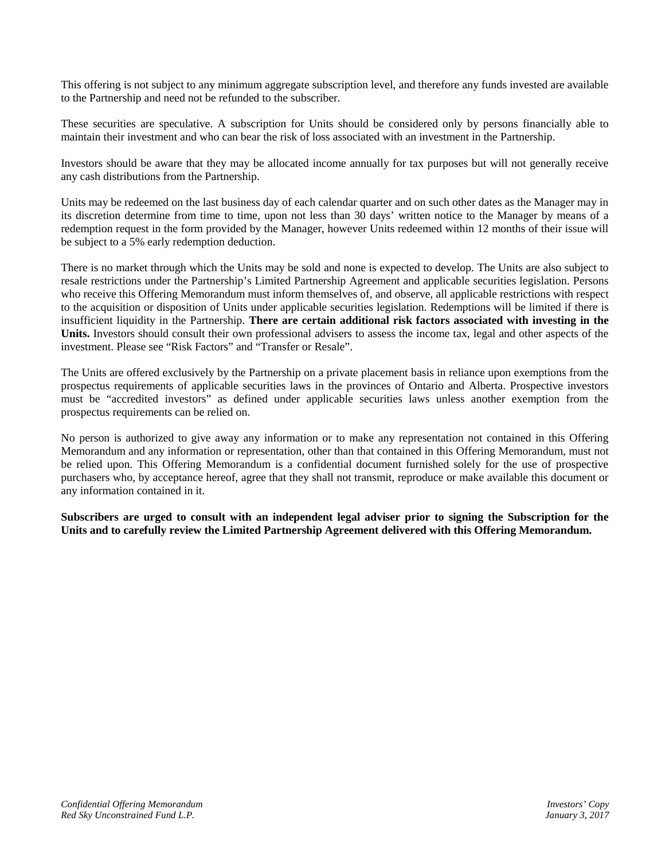This offering is not subject to any minimum aggregate subscription level, and therefore any funds invested are available to the Partnership and need not be refunded to the subscriber.

These securities are speculative. A subscription for Units should be considered only by persons financially able to maintain their investment and who can bear the risk of loss associated with an investment in the Partnership.

Investors should be aware that they may be allocated income annually for tax purposes but will not generally receive any cash distributions from the Partnership.

Units may be redeemed on the last business day of each calendar quarter and on such other dates as the Manager may in its discretion determine from time to time, upon not less than 30 days' written notice to the Manager by means of a redemption request in the form provided by the Manager, however Units redeemed within 12 months of their issue will be subject to a 5% early redemption deduction.

There is no market through which the Units may be sold and none is expected to develop. The Units are also subject to resale restrictions under the Partnership's Limited Partnership Agreement and applicable securities legislation. Persons who receive this Offering Memorandum must inform themselves of, and observe, all applicable restrictions with respect to the acquisition or disposition of Units under applicable securities legislation. Redemptions will be limited if there is insufficient liquidity in the Partnership. **There are certain additional risk factors associated with investing in the Units.** Investors should consult their own professional advisers to assess the income tax, legal and other aspects of the investment. Please see "Risk Factors" and "Transfer or Resale".

The Units are offered exclusively by the Partnership on a private placement basis in reliance upon exemptions from the prospectus requirements of applicable securities laws in the provinces of Ontario and Alberta. Prospective investors must be "accredited investors" as defined under applicable securities laws unless another exemption from the prospectus requirements can be relied on.

No person is authorized to give away any information or to make any representation not contained in this Offering Memorandum and any information or representation, other than that contained in this Offering Memorandum, must not be relied upon. This Offering Memorandum is a confidential document furnished solely for the use of prospective purchasers who, by acceptance hereof, agree that they shall not transmit, reproduce or make available this document or any information contained in it.

**Subscribers are urged to consult with an independent legal adviser prior to signing the Subscription for the Units and to carefully review the Limited Partnership Agreement delivered with this Offering Memorandum.**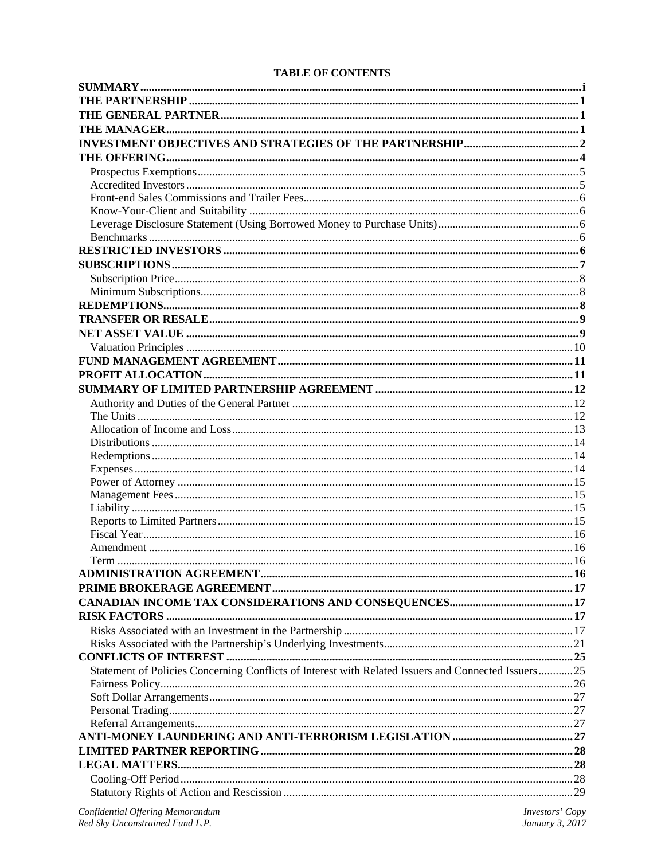## **TABLE OF CONTENTS**

| Statement of Policies Concerning Conflicts of Interest with Related Issuers and Connected Issuers25 |  |
|-----------------------------------------------------------------------------------------------------|--|
|                                                                                                     |  |
|                                                                                                     |  |
|                                                                                                     |  |
|                                                                                                     |  |
|                                                                                                     |  |
|                                                                                                     |  |
|                                                                                                     |  |
|                                                                                                     |  |
|                                                                                                     |  |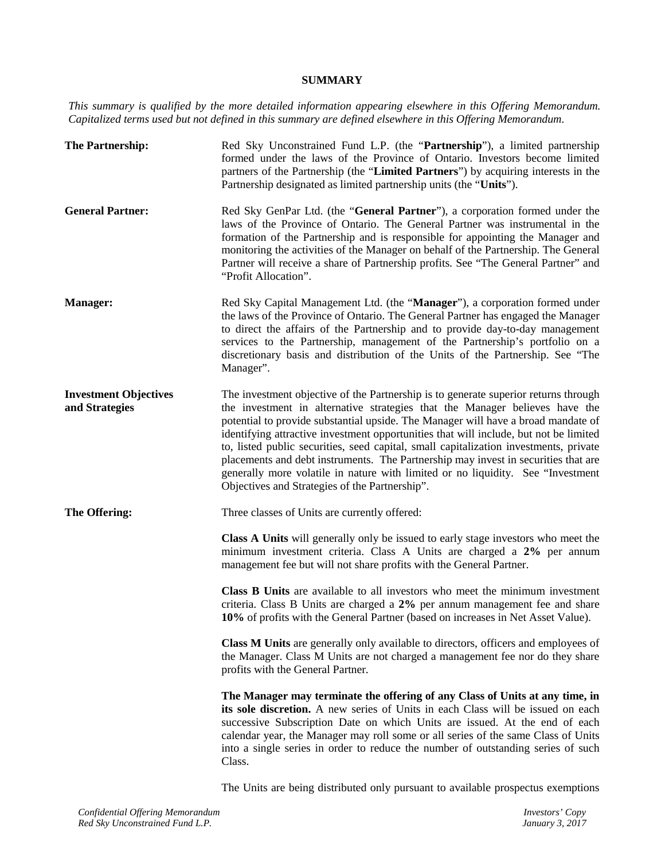## **SUMMARY**

*This summary is qualified by the more detailed information appearing elsewhere in this Offering Memorandum. Capitalized terms used but not defined in this summary are defined elsewhere in this Offering Memorandum.*

| The Partnership:                               | Red Sky Unconstrained Fund L.P. (the "Partnership"), a limited partnership<br>formed under the laws of the Province of Ontario. Investors become limited<br>partners of the Partnership (the "Limited Partners") by acquiring interests in the<br>Partnership designated as limited partnership units (the "Units").                                                                                                                                                                                                                                                                                                                                                 |
|------------------------------------------------|----------------------------------------------------------------------------------------------------------------------------------------------------------------------------------------------------------------------------------------------------------------------------------------------------------------------------------------------------------------------------------------------------------------------------------------------------------------------------------------------------------------------------------------------------------------------------------------------------------------------------------------------------------------------|
| <b>General Partner:</b>                        | Red Sky GenPar Ltd. (the "General Partner"), a corporation formed under the<br>laws of the Province of Ontario. The General Partner was instrumental in the<br>formation of the Partnership and is responsible for appointing the Manager and<br>monitoring the activities of the Manager on behalf of the Partnership. The General<br>Partner will receive a share of Partnership profits. See "The General Partner" and<br>"Profit Allocation".                                                                                                                                                                                                                    |
| <b>Manager:</b>                                | Red Sky Capital Management Ltd. (the "Manager"), a corporation formed under<br>the laws of the Province of Ontario. The General Partner has engaged the Manager<br>to direct the affairs of the Partnership and to provide day-to-day management<br>services to the Partnership, management of the Partnership's portfolio on a<br>discretionary basis and distribution of the Units of the Partnership. See "The<br>Manager".                                                                                                                                                                                                                                       |
| <b>Investment Objectives</b><br>and Strategies | The investment objective of the Partnership is to generate superior returns through<br>the investment in alternative strategies that the Manager believes have the<br>potential to provide substantial upside. The Manager will have a broad mandate of<br>identifying attractive investment opportunities that will include, but not be limited<br>to, listed public securities, seed capital, small capitalization investments, private<br>placements and debt instruments. The Partnership may invest in securities that are<br>generally more volatile in nature with limited or no liquidity. See "Investment<br>Objectives and Strategies of the Partnership". |
| The Offering:                                  | Three classes of Units are currently offered:                                                                                                                                                                                                                                                                                                                                                                                                                                                                                                                                                                                                                        |
|                                                | Class A Units will generally only be issued to early stage investors who meet the<br>minimum investment criteria. Class A Units are charged a 2% per annum<br>management fee but will not share profits with the General Partner.                                                                                                                                                                                                                                                                                                                                                                                                                                    |
|                                                | Class B Units are available to all investors who meet the minimum investment<br>criteria. Class B Units are charged a 2% per annum management fee and share<br>10% of profits with the General Partner (based on increases in Net Asset Value).                                                                                                                                                                                                                                                                                                                                                                                                                      |
|                                                | <b>Class M Units</b> are generally only available to directors, officers and employees of<br>the Manager. Class M Units are not charged a management fee nor do they share<br>profits with the General Partner.                                                                                                                                                                                                                                                                                                                                                                                                                                                      |
|                                                | The Manager may terminate the offering of any Class of Units at any time, in<br>its sole discretion. A new series of Units in each Class will be issued on each<br>successive Subscription Date on which Units are issued. At the end of each<br>calendar year, the Manager may roll some or all series of the same Class of Units<br>into a single series in order to reduce the number of outstanding series of such<br>Class.                                                                                                                                                                                                                                     |

The Units are being distributed only pursuant to available prospectus exemptions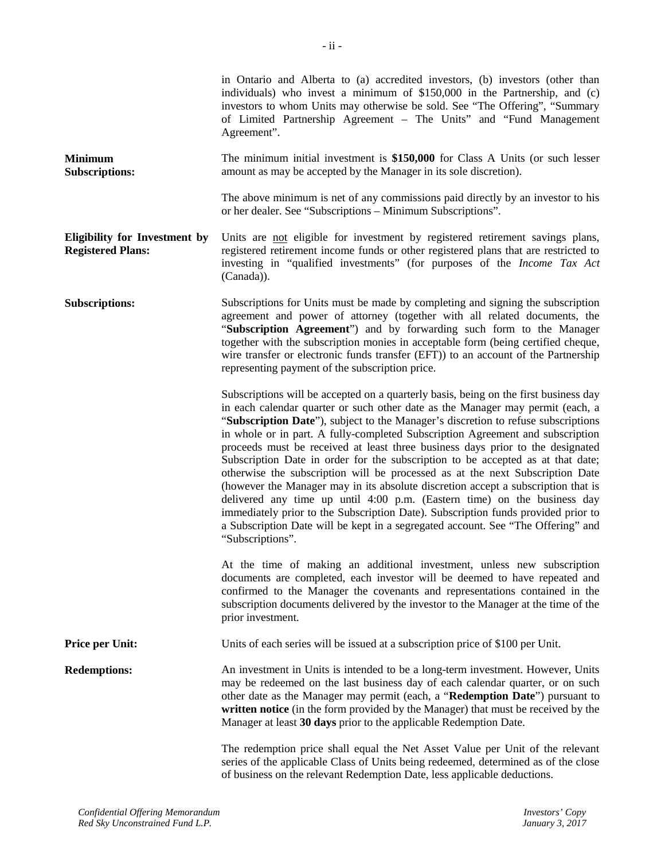in Ontario and Alberta to (a) accredited investors, (b) investors (other than individuals) who invest a minimum of \$150,000 in the Partnership, and (c) investors to whom Units may otherwise be sold. See "The Offering", "Summary

|                                                                  | of Limited Partnership Agreement – The Units" and "Fund Management"<br>Agreement".                                                                                                                                                                                                                                                                                                                                                                                                                                                                                                                                                                                                                                                                                                                                                                                                                                                                                |  |
|------------------------------------------------------------------|-------------------------------------------------------------------------------------------------------------------------------------------------------------------------------------------------------------------------------------------------------------------------------------------------------------------------------------------------------------------------------------------------------------------------------------------------------------------------------------------------------------------------------------------------------------------------------------------------------------------------------------------------------------------------------------------------------------------------------------------------------------------------------------------------------------------------------------------------------------------------------------------------------------------------------------------------------------------|--|
| <b>Minimum</b><br><b>Subscriptions:</b>                          | The minimum initial investment is \$150,000 for Class A Units (or such lesser<br>amount as may be accepted by the Manager in its sole discretion).                                                                                                                                                                                                                                                                                                                                                                                                                                                                                                                                                                                                                                                                                                                                                                                                                |  |
|                                                                  | The above minimum is net of any commissions paid directly by an investor to his<br>or her dealer. See "Subscriptions - Minimum Subscriptions".                                                                                                                                                                                                                                                                                                                                                                                                                                                                                                                                                                                                                                                                                                                                                                                                                    |  |
| <b>Eligibility for Investment by</b><br><b>Registered Plans:</b> | Units are not eligible for investment by registered retirement savings plans,<br>registered retirement income funds or other registered plans that are restricted to<br>investing in "qualified investments" (for purposes of the Income Tax Act<br>(Canada)).                                                                                                                                                                                                                                                                                                                                                                                                                                                                                                                                                                                                                                                                                                    |  |
| <b>Subscriptions:</b>                                            | Subscriptions for Units must be made by completing and signing the subscription<br>agreement and power of attorney (together with all related documents, the<br>"Subscription Agreement") and by forwarding such form to the Manager<br>together with the subscription monies in acceptable form (being certified cheque,<br>wire transfer or electronic funds transfer (EFT)) to an account of the Partnership<br>representing payment of the subscription price.                                                                                                                                                                                                                                                                                                                                                                                                                                                                                                |  |
|                                                                  | Subscriptions will be accepted on a quarterly basis, being on the first business day<br>in each calendar quarter or such other date as the Manager may permit (each, a<br>"Subscription Date"), subject to the Manager's discretion to refuse subscriptions<br>in whole or in part. A fully-completed Subscription Agreement and subscription<br>proceeds must be received at least three business days prior to the designated<br>Subscription Date in order for the subscription to be accepted as at that date;<br>otherwise the subscription will be processed as at the next Subscription Date<br>(however the Manager may in its absolute discretion accept a subscription that is<br>delivered any time up until 4:00 p.m. (Eastern time) on the business day<br>immediately prior to the Subscription Date). Subscription funds provided prior to<br>a Subscription Date will be kept in a segregated account. See "The Offering" and<br>"Subscriptions". |  |
|                                                                  | At the time of making an additional investment, unless new subscription<br>documents are completed, each investor will be deemed to have repeated and<br>confirmed to the Manager the covenants and representations contained in the<br>subscription documents delivered by the investor to the Manager at the time of the<br>prior investment.                                                                                                                                                                                                                                                                                                                                                                                                                                                                                                                                                                                                                   |  |
| <b>Price per Unit:</b>                                           | Units of each series will be issued at a subscription price of \$100 per Unit.                                                                                                                                                                                                                                                                                                                                                                                                                                                                                                                                                                                                                                                                                                                                                                                                                                                                                    |  |
| <b>Redemptions:</b>                                              | An investment in Units is intended to be a long-term investment. However, Units<br>may be redeemed on the last business day of each calendar quarter, or on such<br>other date as the Manager may permit (each, a "Redemption Date") pursuant to<br>written notice (in the form provided by the Manager) that must be received by the<br>Manager at least 30 days prior to the applicable Redemption Date.                                                                                                                                                                                                                                                                                                                                                                                                                                                                                                                                                        |  |
|                                                                  | The redemption price shall equal the Net Asset Value per Unit of the relevant<br>series of the applicable Class of Units being redeemed, determined as of the close<br>of business on the relevant Redemption Date, less applicable deductions.                                                                                                                                                                                                                                                                                                                                                                                                                                                                                                                                                                                                                                                                                                                   |  |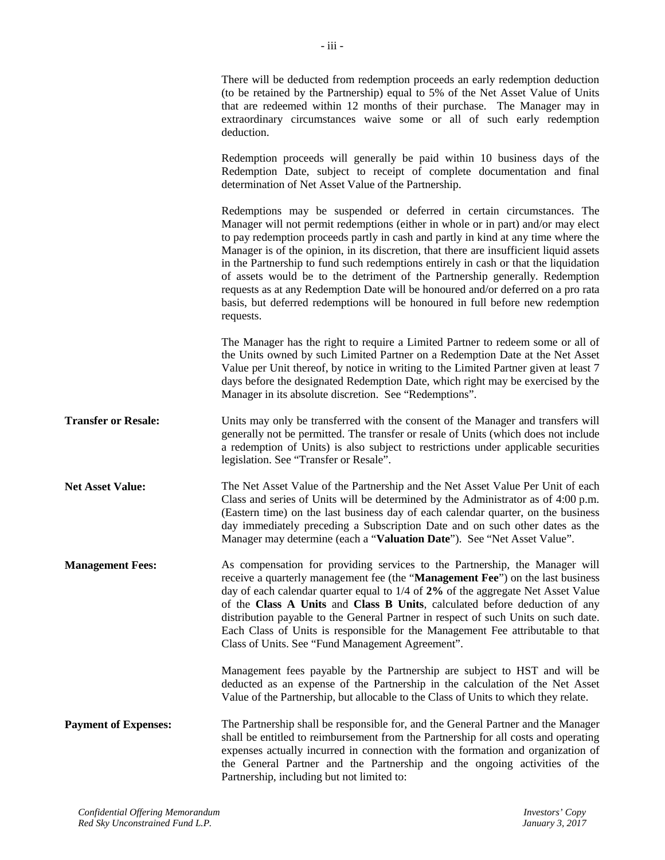There will be deducted from redemption proceeds an early redemption deduction (to be retained by the Partnership) equal to 5% of the Net Asset Value of Units that are redeemed within 12 months of their purchase. The Manager may in extraordinary circumstances waive some or all of such early redemption deduction.

Redemption proceeds will generally be paid within 10 business days of the Redemption Date, subject to receipt of complete documentation and final determination of Net Asset Value of the Partnership.

Redemptions may be suspended or deferred in certain circumstances. The Manager will not permit redemptions (either in whole or in part) and/or may elect to pay redemption proceeds partly in cash and partly in kind at any time where the Manager is of the opinion, in its discretion, that there are insufficient liquid assets in the Partnership to fund such redemptions entirely in cash or that the liquidation of assets would be to the detriment of the Partnership generally. Redemption requests as at any Redemption Date will be honoured and/or deferred on a pro rata basis, but deferred redemptions will be honoured in full before new redemption requests.

The Manager has the right to require a Limited Partner to redeem some or all of the Units owned by such Limited Partner on a Redemption Date at the Net Asset Value per Unit thereof, by notice in writing to the Limited Partner given at least 7 days before the designated Redemption Date, which right may be exercised by the Manager in its absolute discretion. See "Redemptions".

**Transfer or Resale:** Units may only be transferred with the consent of the Manager and transfers will generally not be permitted. The transfer or resale of Units (which does not include a redemption of Units) is also subject to restrictions under applicable securities legislation. See "Transfer or Resale".

**Net Asset Value:** The Net Asset Value of the Partnership and the Net Asset Value Per Unit of each Class and series of Units will be determined by the Administrator as of 4:00 p.m. (Eastern time) on the last business day of each calendar quarter, on the business day immediately preceding a Subscription Date and on such other dates as the Manager may determine (each a "**Valuation Date**"). See "Net Asset Value".

**Management Fees:** As compensation for providing services to the Partnership, the Manager will receive a quarterly management fee (the "**Management Fee**") on the last business day of each calendar quarter equal to 1/4 of **2%** of the aggregate Net Asset Value of the **Class A Units** and **Class B Units**, calculated before deduction of any distribution payable to the General Partner in respect of such Units on such date. Each Class of Units is responsible for the Management Fee attributable to that Class of Units. See "Fund Management Agreement".

> Management fees payable by the Partnership are subject to HST and will be deducted as an expense of the Partnership in the calculation of the Net Asset Value of the Partnership, but allocable to the Class of Units to which they relate.

**Payment of Expenses:** The Partnership shall be responsible for, and the General Partner and the Manager shall be entitled to reimbursement from the Partnership for all costs and operating expenses actually incurred in connection with the formation and organization of the General Partner and the Partnership and the ongoing activities of the Partnership, including but not limited to: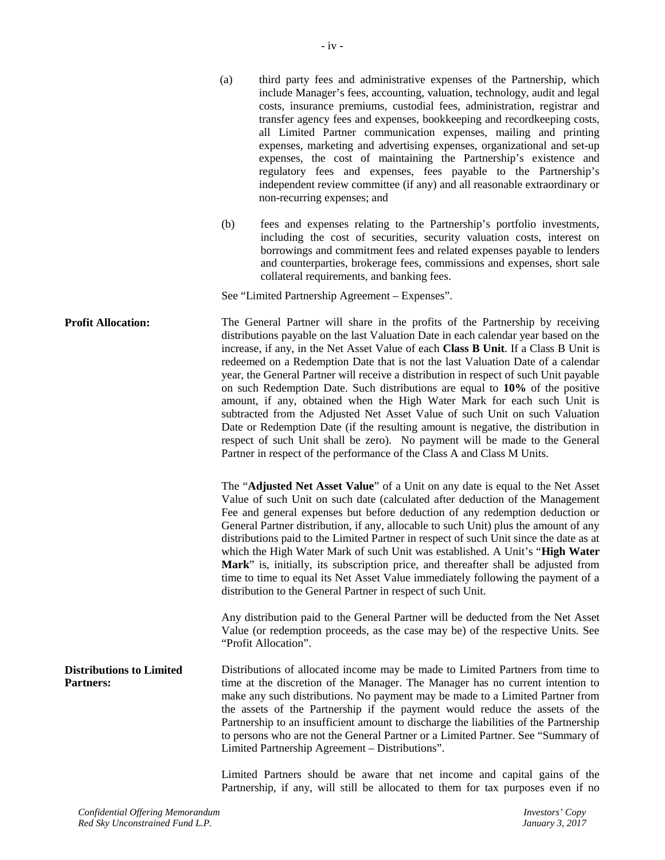|                                                     | expenses, marketing and advertising expenses, organizational and set-up<br>expenses, the cost of maintaining the Partnership's existence and<br>regulatory fees and expenses, fees payable to the Partnership's<br>independent review committee (if any) and all reasonable extraordinary or<br>non-recurring expenses; and                                                                                                                                                                                                                                                                                                                                                                                                                                                                                                                                                                                                         |
|-----------------------------------------------------|-------------------------------------------------------------------------------------------------------------------------------------------------------------------------------------------------------------------------------------------------------------------------------------------------------------------------------------------------------------------------------------------------------------------------------------------------------------------------------------------------------------------------------------------------------------------------------------------------------------------------------------------------------------------------------------------------------------------------------------------------------------------------------------------------------------------------------------------------------------------------------------------------------------------------------------|
|                                                     | (b)<br>fees and expenses relating to the Partnership's portfolio investments,<br>including the cost of securities, security valuation costs, interest on<br>borrowings and commitment fees and related expenses payable to lenders<br>and counterparties, brokerage fees, commissions and expenses, short sale<br>collateral requirements, and banking fees.                                                                                                                                                                                                                                                                                                                                                                                                                                                                                                                                                                        |
|                                                     | See "Limited Partnership Agreement – Expenses".                                                                                                                                                                                                                                                                                                                                                                                                                                                                                                                                                                                                                                                                                                                                                                                                                                                                                     |
| <b>Profit Allocation:</b>                           | The General Partner will share in the profits of the Partnership by receiving<br>distributions payable on the last Valuation Date in each calendar year based on the<br>increase, if any, in the Net Asset Value of each Class B Unit. If a Class B Unit is<br>redeemed on a Redemption Date that is not the last Valuation Date of a calendar<br>year, the General Partner will receive a distribution in respect of such Unit payable<br>on such Redemption Date. Such distributions are equal to $10\%$ of the positive<br>amount, if any, obtained when the High Water Mark for each such Unit is<br>subtracted from the Adjusted Net Asset Value of such Unit on such Valuation<br>Date or Redemption Date (if the resulting amount is negative, the distribution in<br>respect of such Unit shall be zero). No payment will be made to the General<br>Partner in respect of the performance of the Class A and Class M Units. |
|                                                     | The "Adjusted Net Asset Value" of a Unit on any date is equal to the Net Asset<br>Value of such Unit on such date (calculated after deduction of the Management<br>Fee and general expenses but before deduction of any redemption deduction or<br>General Partner distribution, if any, allocable to such Unit) plus the amount of any<br>distributions paid to the Limited Partner in respect of such Unit since the date as at<br>which the High Water Mark of such Unit was established. A Unit's "High Water"<br>Mark" is, initially, its subscription price, and thereafter shall be adjusted from<br>time to time to equal its Net Asset Value immediately following the payment of a<br>distribution to the General Partner in respect of such Unit.                                                                                                                                                                        |
|                                                     | Any distribution paid to the General Partner will be deducted from the Net Asset<br>Value (or redemption proceeds, as the case may be) of the respective Units. See<br>"Profit Allocation".                                                                                                                                                                                                                                                                                                                                                                                                                                                                                                                                                                                                                                                                                                                                         |
| <b>Distributions to Limited</b><br><b>Partners:</b> | Distributions of allocated income may be made to Limited Partners from time to<br>time at the discretion of the Manager. The Manager has no current intention to<br>make any such distributions. No payment may be made to a Limited Partner from<br>the assets of the Partnership if the payment would reduce the assets of the<br>Partnership to an insufficient amount to discharge the liabilities of the Partnership<br>to persons who are not the General Partner or a Limited Partner. See "Summary of<br>Limited Partnership Agreement - Distributions".                                                                                                                                                                                                                                                                                                                                                                    |
|                                                     | Limited Partners should be aware that net income and capital gains of the<br>Partnership, if any, will still be allocated to them for tax purposes even if no                                                                                                                                                                                                                                                                                                                                                                                                                                                                                                                                                                                                                                                                                                                                                                       |

(a) third party fees and administrative expenses of the Partnership, which

include Manager's fees, accounting, valuation, technology, audit and legal costs, insurance premiums, custodial fees, administration, registrar and transfer agency fees and expenses, bookkeeping and recordkeeping costs, all Limited Partner communication expenses, mailing and printing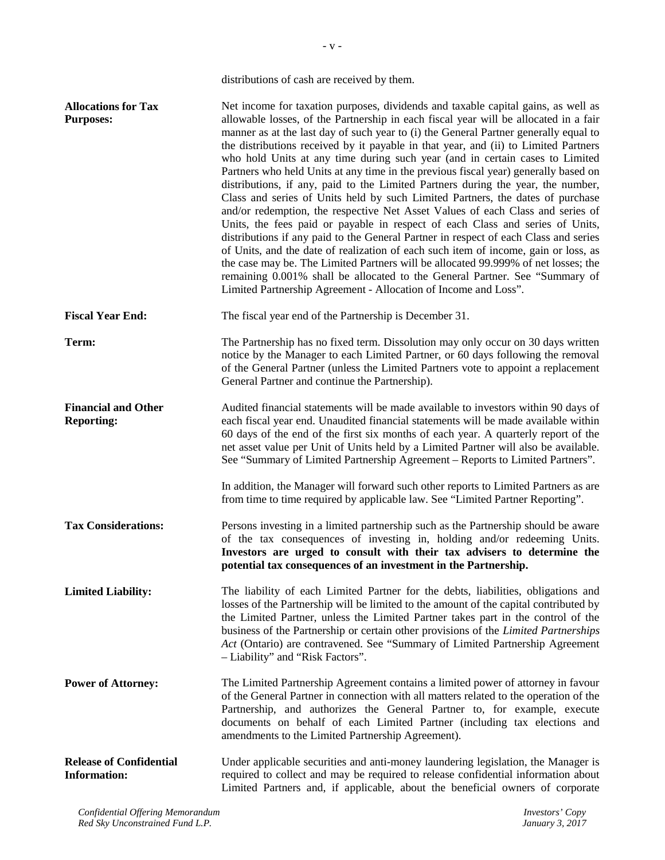|                                                       | distributions of cash are received by them.                                                                                                                                                                                                                                                                                                                                                                                                                                                                                                                                                                                                                                                                                                                                                                                                                                                                                                                                                                                                                                                                                                                                                                                                                                                     |
|-------------------------------------------------------|-------------------------------------------------------------------------------------------------------------------------------------------------------------------------------------------------------------------------------------------------------------------------------------------------------------------------------------------------------------------------------------------------------------------------------------------------------------------------------------------------------------------------------------------------------------------------------------------------------------------------------------------------------------------------------------------------------------------------------------------------------------------------------------------------------------------------------------------------------------------------------------------------------------------------------------------------------------------------------------------------------------------------------------------------------------------------------------------------------------------------------------------------------------------------------------------------------------------------------------------------------------------------------------------------|
| <b>Allocations for Tax</b><br><b>Purposes:</b>        | Net income for taxation purposes, dividends and taxable capital gains, as well as<br>allowable losses, of the Partnership in each fiscal year will be allocated in a fair<br>manner as at the last day of such year to (i) the General Partner generally equal to<br>the distributions received by it payable in that year, and (ii) to Limited Partners<br>who hold Units at any time during such year (and in certain cases to Limited<br>Partners who held Units at any time in the previous fiscal year) generally based on<br>distributions, if any, paid to the Limited Partners during the year, the number,<br>Class and series of Units held by such Limited Partners, the dates of purchase<br>and/or redemption, the respective Net Asset Values of each Class and series of<br>Units, the fees paid or payable in respect of each Class and series of Units,<br>distributions if any paid to the General Partner in respect of each Class and series<br>of Units, and the date of realization of each such item of income, gain or loss, as<br>the case may be. The Limited Partners will be allocated 99.999% of net losses; the<br>remaining 0.001% shall be allocated to the General Partner. See "Summary of<br>Limited Partnership Agreement - Allocation of Income and Loss". |
| <b>Fiscal Year End:</b>                               | The fiscal year end of the Partnership is December 31.                                                                                                                                                                                                                                                                                                                                                                                                                                                                                                                                                                                                                                                                                                                                                                                                                                                                                                                                                                                                                                                                                                                                                                                                                                          |
| Term:                                                 | The Partnership has no fixed term. Dissolution may only occur on 30 days written<br>notice by the Manager to each Limited Partner, or 60 days following the removal<br>of the General Partner (unless the Limited Partners vote to appoint a replacement<br>General Partner and continue the Partnership).                                                                                                                                                                                                                                                                                                                                                                                                                                                                                                                                                                                                                                                                                                                                                                                                                                                                                                                                                                                      |
| <b>Financial and Other</b><br><b>Reporting:</b>       | Audited financial statements will be made available to investors within 90 days of<br>each fiscal year end. Unaudited financial statements will be made available within<br>60 days of the end of the first six months of each year. A quarterly report of the<br>net asset value per Unit of Units held by a Limited Partner will also be available.<br>See "Summary of Limited Partnership Agreement - Reports to Limited Partners".<br>In addition, the Manager will forward such other reports to Limited Partners as are<br>from time to time required by applicable law. See "Limited Partner Reporting".                                                                                                                                                                                                                                                                                                                                                                                                                                                                                                                                                                                                                                                                                 |
| <b>Tax Considerations:</b>                            | Persons investing in a limited partnership such as the Partnership should be aware<br>of the tax consequences of investing in, holding and/or redeeming Units.<br>Investors are urged to consult with their tax advisers to determine the<br>potential tax consequences of an investment in the Partnership.                                                                                                                                                                                                                                                                                                                                                                                                                                                                                                                                                                                                                                                                                                                                                                                                                                                                                                                                                                                    |
| <b>Limited Liability:</b>                             | The liability of each Limited Partner for the debts, liabilities, obligations and<br>losses of the Partnership will be limited to the amount of the capital contributed by<br>the Limited Partner, unless the Limited Partner takes part in the control of the<br>business of the Partnership or certain other provisions of the Limited Partnerships<br>Act (Ontario) are contravened. See "Summary of Limited Partnership Agreement<br>- Liability" and "Risk Factors".                                                                                                                                                                                                                                                                                                                                                                                                                                                                                                                                                                                                                                                                                                                                                                                                                       |
| <b>Power of Attorney:</b>                             | The Limited Partnership Agreement contains a limited power of attorney in favour<br>of the General Partner in connection with all matters related to the operation of the<br>Partnership, and authorizes the General Partner to, for example, execute<br>documents on behalf of each Limited Partner (including tax elections and<br>amendments to the Limited Partnership Agreement).                                                                                                                                                                                                                                                                                                                                                                                                                                                                                                                                                                                                                                                                                                                                                                                                                                                                                                          |
| <b>Release of Confidential</b><br><b>Information:</b> | Under applicable securities and anti-money laundering legislation, the Manager is<br>required to collect and may be required to release confidential information about<br>Limited Partners and, if applicable, about the beneficial owners of corporate                                                                                                                                                                                                                                                                                                                                                                                                                                                                                                                                                                                                                                                                                                                                                                                                                                                                                                                                                                                                                                         |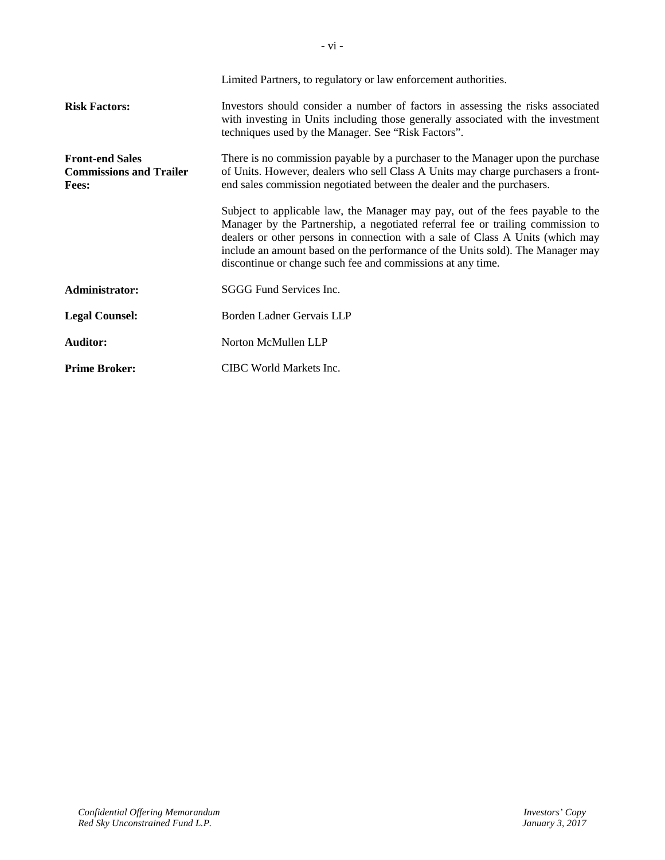|                                                                          | Limited Partners, to regulatory or law enforcement authorities.                                                                                                                                                                                                                                                                                                                                      |  |
|--------------------------------------------------------------------------|------------------------------------------------------------------------------------------------------------------------------------------------------------------------------------------------------------------------------------------------------------------------------------------------------------------------------------------------------------------------------------------------------|--|
| <b>Risk Factors:</b>                                                     | Investors should consider a number of factors in assessing the risks associated<br>with investing in Units including those generally associated with the investment<br>techniques used by the Manager. See "Risk Factors".                                                                                                                                                                           |  |
| <b>Front-end Sales</b><br><b>Commissions and Trailer</b><br><b>Fees:</b> | There is no commission payable by a purchaser to the Manager upon the purchase<br>of Units. However, dealers who sell Class A Units may charge purchasers a front-<br>end sales commission negotiated between the dealer and the purchasers.                                                                                                                                                         |  |
|                                                                          | Subject to applicable law, the Manager may pay, out of the fees payable to the<br>Manager by the Partnership, a negotiated referral fee or trailing commission to<br>dealers or other persons in connection with a sale of Class A Units (which may<br>include an amount based on the performance of the Units sold). The Manager may<br>discontinue or change such fee and commissions at any time. |  |
| Administrator:                                                           | SGGG Fund Services Inc.                                                                                                                                                                                                                                                                                                                                                                              |  |
| <b>Legal Counsel:</b>                                                    | Borden Ladner Gervais LLP                                                                                                                                                                                                                                                                                                                                                                            |  |
| <b>Auditor:</b>                                                          | Norton McMullen LLP                                                                                                                                                                                                                                                                                                                                                                                  |  |
| <b>Prime Broker:</b>                                                     | CIBC World Markets Inc.                                                                                                                                                                                                                                                                                                                                                                              |  |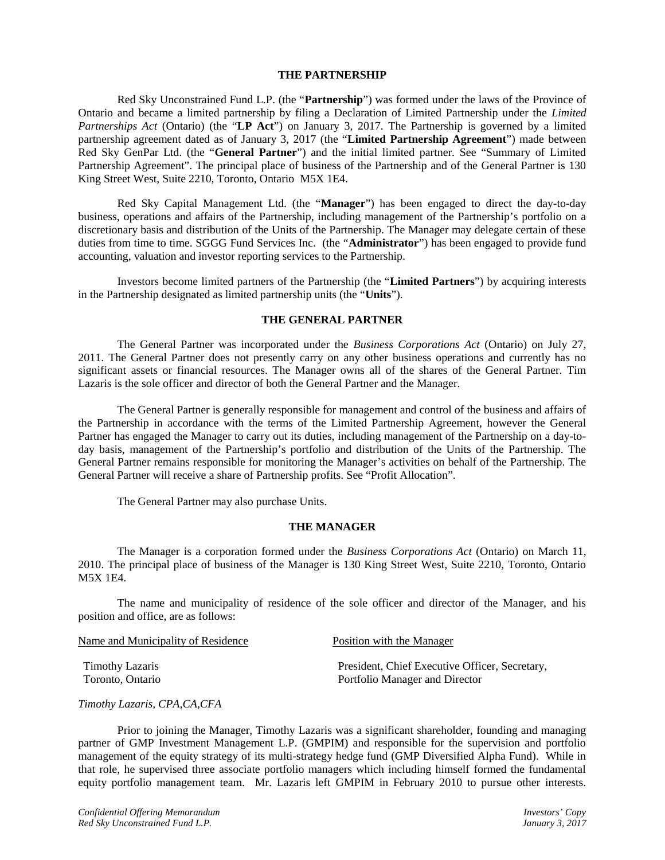## **THE PARTNERSHIP**

Red Sky Unconstrained Fund L.P. (the "**Partnership**") was formed under the laws of the Province of Ontario and became a limited partnership by filing a Declaration of Limited Partnership under the *Limited Partnerships Act* (Ontario) (the "**LP Act**") on January 3, 2017. The Partnership is governed by a limited partnership agreement dated as of January 3, 2017 (the "**Limited Partnership Agreement**") made between Red Sky GenPar Ltd. (the "**General Partner**") and the initial limited partner. See "Summary of Limited Partnership Agreement". The principal place of business of the Partnership and of the General Partner is 130 King Street West, Suite 2210, Toronto, Ontario M5X 1E4.

Red Sky Capital Management Ltd. (the "**Manager**") has been engaged to direct the day-to-day business, operations and affairs of the Partnership, including management of the Partnership's portfolio on a discretionary basis and distribution of the Units of the Partnership. The Manager may delegate certain of these duties from time to time. SGGG Fund Services Inc. (the "**Administrator**") has been engaged to provide fund accounting, valuation and investor reporting services to the Partnership.

Investors become limited partners of the Partnership (the "**Limited Partners**") by acquiring interests in the Partnership designated as limited partnership units (the "**Units**").

#### **THE GENERAL PARTNER**

The General Partner was incorporated under the *Business Corporations Act* (Ontario) on July 27, 2011. The General Partner does not presently carry on any other business operations and currently has no significant assets or financial resources. The Manager owns all of the shares of the General Partner. Tim Lazaris is the sole officer and director of both the General Partner and the Manager.

The General Partner is generally responsible for management and control of the business and affairs of the Partnership in accordance with the terms of the Limited Partnership Agreement, however the General Partner has engaged the Manager to carry out its duties, including management of the Partnership on a day-today basis, management of the Partnership's portfolio and distribution of the Units of the Partnership. The General Partner remains responsible for monitoring the Manager's activities on behalf of the Partnership. The General Partner will receive a share of Partnership profits. See "Profit Allocation".

The General Partner may also purchase Units.

## **THE MANAGER**

The Manager is a corporation formed under the *Business Corporations Act* (Ontario) on March 11, 2010. The principal place of business of the Manager is 130 King Street West, Suite 2210, Toronto, Ontario M5X 1E4.

The name and municipality of residence of the sole officer and director of the Manager, and his position and office, are as follows:

| Name and Municipality of Residence | Position with the Manager                      |
|------------------------------------|------------------------------------------------|
| Timothy Lazaris                    | President, Chief Executive Officer, Secretary, |
| Toronto, Ontario                   | Portfolio Manager and Director                 |

## *Timothy Lazaris, CPA,CA,CFA*

Prior to joining the Manager, Timothy Lazaris was a significant shareholder, founding and managing partner of GMP Investment Management L.P. (GMPIM) and responsible for the supervision and portfolio management of the equity strategy of its multi-strategy hedge fund (GMP Diversified Alpha Fund). While in that role, he supervised three associate portfolio managers which including himself formed the fundamental equity portfolio management team. Mr. Lazaris left GMPIM in February 2010 to pursue other interests.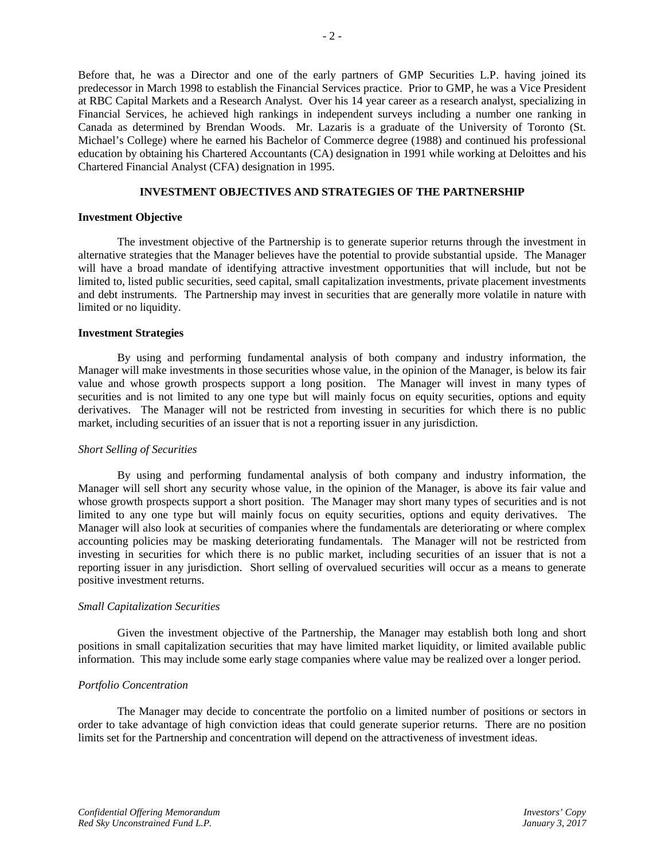Before that, he was a Director and one of the early partners of GMP Securities L.P. having joined its predecessor in March 1998 to establish the Financial Services practice. Prior to GMP, he was a Vice President at RBC Capital Markets and a Research Analyst. Over his 14 year career as a research analyst, specializing in Financial Services, he achieved high rankings in independent surveys including a number one ranking in Canada as determined by Brendan Woods. Mr. Lazaris is a graduate of the University of Toronto (St. Michael's College) where he earned his Bachelor of Commerce degree (1988) and continued his professional education by obtaining his Chartered Accountants (CA) designation in 1991 while working at Deloittes and his Chartered Financial Analyst (CFA) designation in 1995.

# **INVESTMENT OBJECTIVES AND STRATEGIES OF THE PARTNERSHIP**

#### **Investment Objective**

The investment objective of the Partnership is to generate superior returns through the investment in alternative strategies that the Manager believes have the potential to provide substantial upside. The Manager will have a broad mandate of identifying attractive investment opportunities that will include, but not be limited to, listed public securities, seed capital, small capitalization investments, private placement investments and debt instruments. The Partnership may invest in securities that are generally more volatile in nature with limited or no liquidity.

## **Investment Strategies**

By using and performing fundamental analysis of both company and industry information, the Manager will make investments in those securities whose value, in the opinion of the Manager, is below its fair value and whose growth prospects support a long position. The Manager will invest in many types of securities and is not limited to any one type but will mainly focus on equity securities, options and equity derivatives. The Manager will not be restricted from investing in securities for which there is no public market, including securities of an issuer that is not a reporting issuer in any jurisdiction.

## *Short Selling of Securities*

By using and performing fundamental analysis of both company and industry information, the Manager will sell short any security whose value, in the opinion of the Manager, is above its fair value and whose growth prospects support a short position. The Manager may short many types of securities and is not limited to any one type but will mainly focus on equity securities, options and equity derivatives. The Manager will also look at securities of companies where the fundamentals are deteriorating or where complex accounting policies may be masking deteriorating fundamentals. The Manager will not be restricted from investing in securities for which there is no public market, including securities of an issuer that is not a reporting issuer in any jurisdiction. Short selling of overvalued securities will occur as a means to generate positive investment returns.

## *Small Capitalization Securities*

Given the investment objective of the Partnership, the Manager may establish both long and short positions in small capitalization securities that may have limited market liquidity, or limited available public information. This may include some early stage companies where value may be realized over a longer period.

## *Portfolio Concentration*

The Manager may decide to concentrate the portfolio on a limited number of positions or sectors in order to take advantage of high conviction ideas that could generate superior returns. There are no position limits set for the Partnership and concentration will depend on the attractiveness of investment ideas.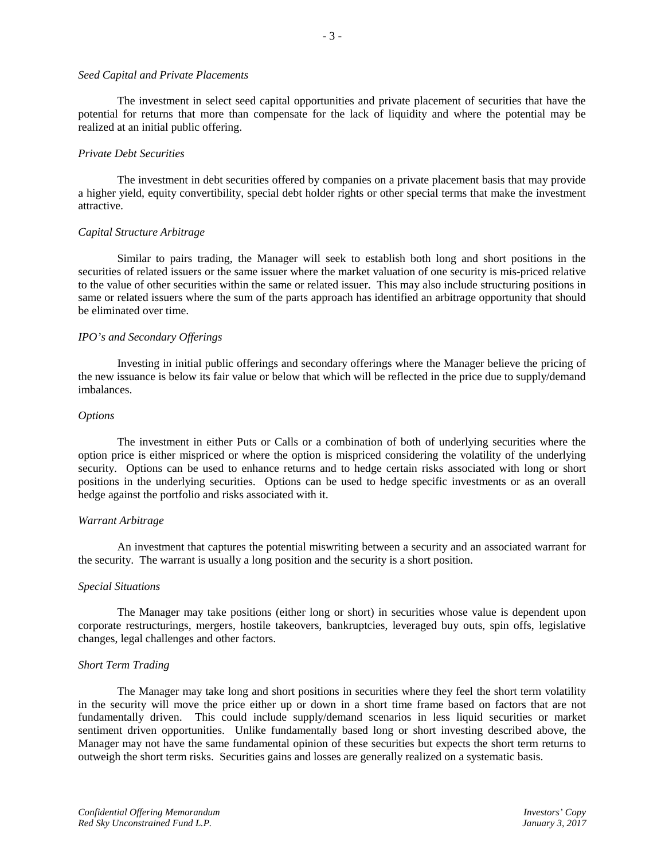#### *Seed Capital and Private Placements*

The investment in select seed capital opportunities and private placement of securities that have the potential for returns that more than compensate for the lack of liquidity and where the potential may be realized at an initial public offering.

- 3 -

#### *Private Debt Securities*

The investment in debt securities offered by companies on a private placement basis that may provide a higher yield, equity convertibility, special debt holder rights or other special terms that make the investment attractive.

#### *Capital Structure Arbitrage*

Similar to pairs trading, the Manager will seek to establish both long and short positions in the securities of related issuers or the same issuer where the market valuation of one security is mis-priced relative to the value of other securities within the same or related issuer. This may also include structuring positions in same or related issuers where the sum of the parts approach has identified an arbitrage opportunity that should be eliminated over time.

#### *IPO's and Secondary Offerings*

Investing in initial public offerings and secondary offerings where the Manager believe the pricing of the new issuance is below its fair value or below that which will be reflected in the price due to supply/demand imbalances.

#### *Options*

The investment in either Puts or Calls or a combination of both of underlying securities where the option price is either mispriced or where the option is mispriced considering the volatility of the underlying security. Options can be used to enhance returns and to hedge certain risks associated with long or short positions in the underlying securities. Options can be used to hedge specific investments or as an overall hedge against the portfolio and risks associated with it.

#### *Warrant Arbitrage*

An investment that captures the potential miswriting between a security and an associated warrant for the security. The warrant is usually a long position and the security is a short position.

#### *Special Situations*

The Manager may take positions (either long or short) in securities whose value is dependent upon corporate restructurings, mergers, hostile takeovers, bankruptcies, leveraged buy outs, spin offs, legislative changes, legal challenges and other factors.

#### *Short Term Trading*

The Manager may take long and short positions in securities where they feel the short term volatility in the security will move the price either up or down in a short time frame based on factors that are not fundamentally driven. This could include supply/demand scenarios in less liquid securities or market sentiment driven opportunities. Unlike fundamentally based long or short investing described above, the Manager may not have the same fundamental opinion of these securities but expects the short term returns to outweigh the short term risks. Securities gains and losses are generally realized on a systematic basis.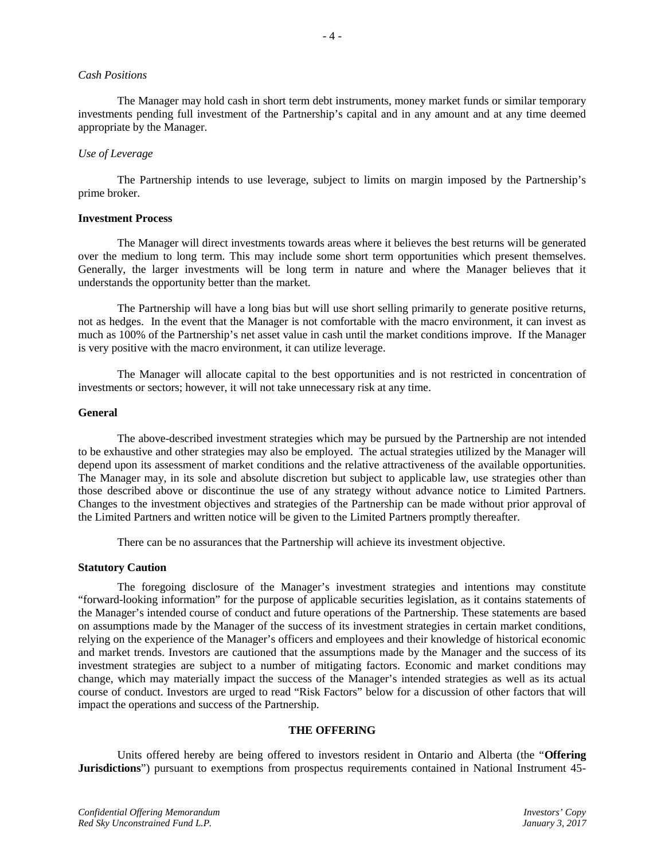#### *Cash Positions*

The Manager may hold cash in short term debt instruments, money market funds or similar temporary investments pending full investment of the Partnership's capital and in any amount and at any time deemed appropriate by the Manager.

- 4 -

#### *Use of Leverage*

The Partnership intends to use leverage, subject to limits on margin imposed by the Partnership's prime broker.

#### **Investment Process**

The Manager will direct investments towards areas where it believes the best returns will be generated over the medium to long term. This may include some short term opportunities which present themselves. Generally, the larger investments will be long term in nature and where the Manager believes that it understands the opportunity better than the market.

The Partnership will have a long bias but will use short selling primarily to generate positive returns, not as hedges. In the event that the Manager is not comfortable with the macro environment, it can invest as much as 100% of the Partnership's net asset value in cash until the market conditions improve. If the Manager is very positive with the macro environment, it can utilize leverage.

The Manager will allocate capital to the best opportunities and is not restricted in concentration of investments or sectors; however, it will not take unnecessary risk at any time.

#### **General**

The above-described investment strategies which may be pursued by the Partnership are not intended to be exhaustive and other strategies may also be employed. The actual strategies utilized by the Manager will depend upon its assessment of market conditions and the relative attractiveness of the available opportunities. The Manager may, in its sole and absolute discretion but subject to applicable law, use strategies other than those described above or discontinue the use of any strategy without advance notice to Limited Partners. Changes to the investment objectives and strategies of the Partnership can be made without prior approval of the Limited Partners and written notice will be given to the Limited Partners promptly thereafter.

There can be no assurances that the Partnership will achieve its investment objective.

#### **Statutory Caution**

The foregoing disclosure of the Manager's investment strategies and intentions may constitute "forward-looking information" for the purpose of applicable securities legislation, as it contains statements of the Manager's intended course of conduct and future operations of the Partnership. These statements are based on assumptions made by the Manager of the success of its investment strategies in certain market conditions, relying on the experience of the Manager's officers and employees and their knowledge of historical economic and market trends. Investors are cautioned that the assumptions made by the Manager and the success of its investment strategies are subject to a number of mitigating factors. Economic and market conditions may change, which may materially impact the success of the Manager's intended strategies as well as its actual course of conduct. Investors are urged to read "Risk Factors" below for a discussion of other factors that will impact the operations and success of the Partnership.

## **THE OFFERING**

Units offered hereby are being offered to investors resident in Ontario and Alberta (the "**Offering Jurisdictions**") pursuant to exemptions from prospectus requirements contained in National Instrument 45-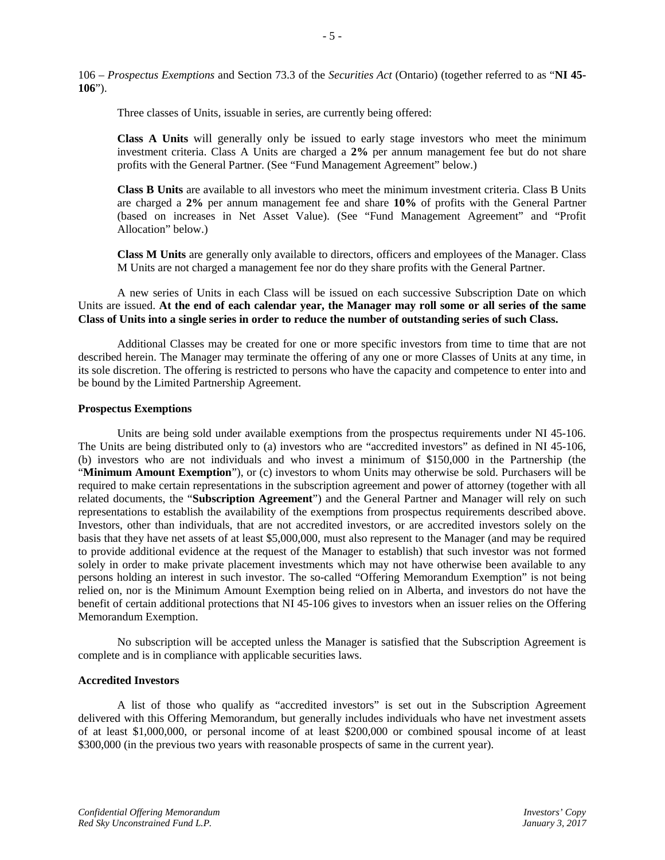106 – *Prospectus Exemptions* and Section 73.3 of the *Securities Act* (Ontario) (together referred to as "**NI 45- 106**").

Three classes of Units, issuable in series, are currently being offered:

**Class A Units** will generally only be issued to early stage investors who meet the minimum investment criteria. Class A Units are charged a **2%** per annum management fee but do not share profits with the General Partner. (See "Fund Management Agreement" below.)

**Class B Units** are available to all investors who meet the minimum investment criteria. Class B Units are charged a **2%** per annum management fee and share **10%** of profits with the General Partner (based on increases in Net Asset Value). (See "Fund Management Agreement" and "Profit Allocation" below.)

**Class M Units** are generally only available to directors, officers and employees of the Manager. Class M Units are not charged a management fee nor do they share profits with the General Partner.

A new series of Units in each Class will be issued on each successive Subscription Date on which Units are issued. **At the end of each calendar year, the Manager may roll some or all series of the same Class of Units into a single series in order to reduce the number of outstanding series of such Class.**

Additional Classes may be created for one or more specific investors from time to time that are not described herein. The Manager may terminate the offering of any one or more Classes of Units at any time, in its sole discretion. The offering is restricted to persons who have the capacity and competence to enter into and be bound by the Limited Partnership Agreement.

#### **Prospectus Exemptions**

Units are being sold under available exemptions from the prospectus requirements under NI 45-106. The Units are being distributed only to (a) investors who are "accredited investors" as defined in NI 45-106, (b) investors who are not individuals and who invest a minimum of \$150,000 in the Partnership (the "**Minimum Amount Exemption**"), or (c) investors to whom Units may otherwise be sold. Purchasers will be required to make certain representations in the subscription agreement and power of attorney (together with all related documents, the "**Subscription Agreement**") and the General Partner and Manager will rely on such representations to establish the availability of the exemptions from prospectus requirements described above. Investors, other than individuals, that are not accredited investors, or are accredited investors solely on the basis that they have net assets of at least \$5,000,000, must also represent to the Manager (and may be required to provide additional evidence at the request of the Manager to establish) that such investor was not formed solely in order to make private placement investments which may not have otherwise been available to any persons holding an interest in such investor. The so-called "Offering Memorandum Exemption" is not being relied on, nor is the Minimum Amount Exemption being relied on in Alberta, and investors do not have the benefit of certain additional protections that NI 45-106 gives to investors when an issuer relies on the Offering Memorandum Exemption.

No subscription will be accepted unless the Manager is satisfied that the Subscription Agreement is complete and is in compliance with applicable securities laws.

## **Accredited Investors**

A list of those who qualify as "accredited investors" is set out in the Subscription Agreement delivered with this Offering Memorandum, but generally includes individuals who have net investment assets of at least \$1,000,000, or personal income of at least \$200,000 or combined spousal income of at least \$300,000 (in the previous two years with reasonable prospects of same in the current year).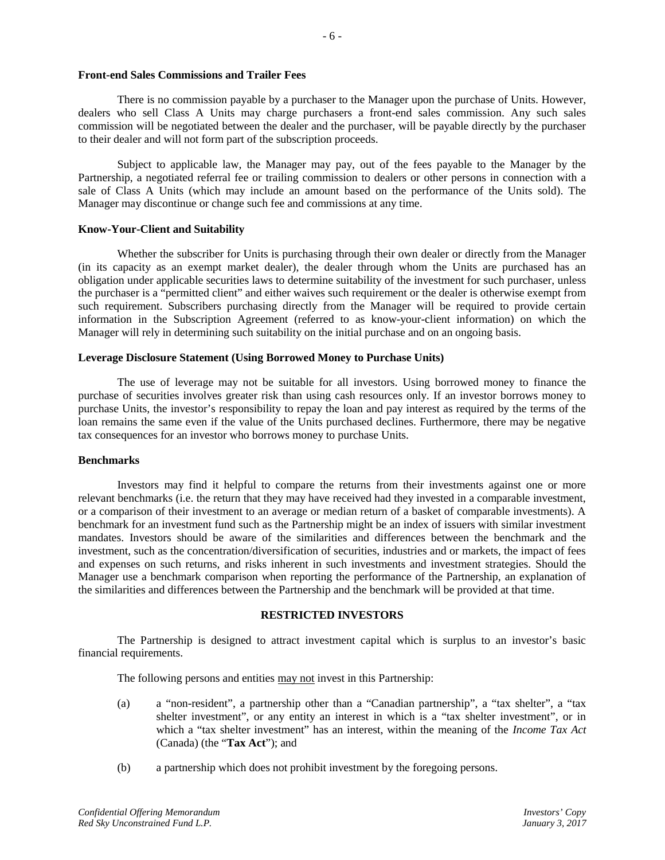#### **Front-end Sales Commissions and Trailer Fees**

There is no commission payable by a purchaser to the Manager upon the purchase of Units. However, dealers who sell Class A Units may charge purchasers a front-end sales commission. Any such sales commission will be negotiated between the dealer and the purchaser, will be payable directly by the purchaser to their dealer and will not form part of the subscription proceeds.

Subject to applicable law, the Manager may pay, out of the fees payable to the Manager by the Partnership, a negotiated referral fee or trailing commission to dealers or other persons in connection with a sale of Class A Units (which may include an amount based on the performance of the Units sold). The Manager may discontinue or change such fee and commissions at any time.

#### **Know-Your-Client and Suitability**

Whether the subscriber for Units is purchasing through their own dealer or directly from the Manager (in its capacity as an exempt market dealer), the dealer through whom the Units are purchased has an obligation under applicable securities laws to determine suitability of the investment for such purchaser, unless the purchaser is a "permitted client" and either waives such requirement or the dealer is otherwise exempt from such requirement. Subscribers purchasing directly from the Manager will be required to provide certain information in the Subscription Agreement (referred to as know-your-client information) on which the Manager will rely in determining such suitability on the initial purchase and on an ongoing basis.

#### **Leverage Disclosure Statement (Using Borrowed Money to Purchase Units)**

The use of leverage may not be suitable for all investors. Using borrowed money to finance the purchase of securities involves greater risk than using cash resources only. If an investor borrows money to purchase Units, the investor's responsibility to repay the loan and pay interest as required by the terms of the loan remains the same even if the value of the Units purchased declines. Furthermore, there may be negative tax consequences for an investor who borrows money to purchase Units.

## **Benchmarks**

Investors may find it helpful to compare the returns from their investments against one or more relevant benchmarks (i.e. the return that they may have received had they invested in a comparable investment, or a comparison of their investment to an average or median return of a basket of comparable investments). A benchmark for an investment fund such as the Partnership might be an index of issuers with similar investment mandates. Investors should be aware of the similarities and differences between the benchmark and the investment, such as the concentration/diversification of securities, industries and or markets, the impact of fees and expenses on such returns, and risks inherent in such investments and investment strategies. Should the Manager use a benchmark comparison when reporting the performance of the Partnership, an explanation of the similarities and differences between the Partnership and the benchmark will be provided at that time.

## **RESTRICTED INVESTORS**

The Partnership is designed to attract investment capital which is surplus to an investor's basic financial requirements.

The following persons and entities may not invest in this Partnership:

- (a) a "non-resident", a partnership other than a "Canadian partnership", a "tax shelter", a "tax shelter investment", or any entity an interest in which is a "tax shelter investment", or in which a "tax shelter investment" has an interest, within the meaning of the *Income Tax Act* (Canada) (the "**Tax Act**"); and
- (b) a partnership which does not prohibit investment by the foregoing persons.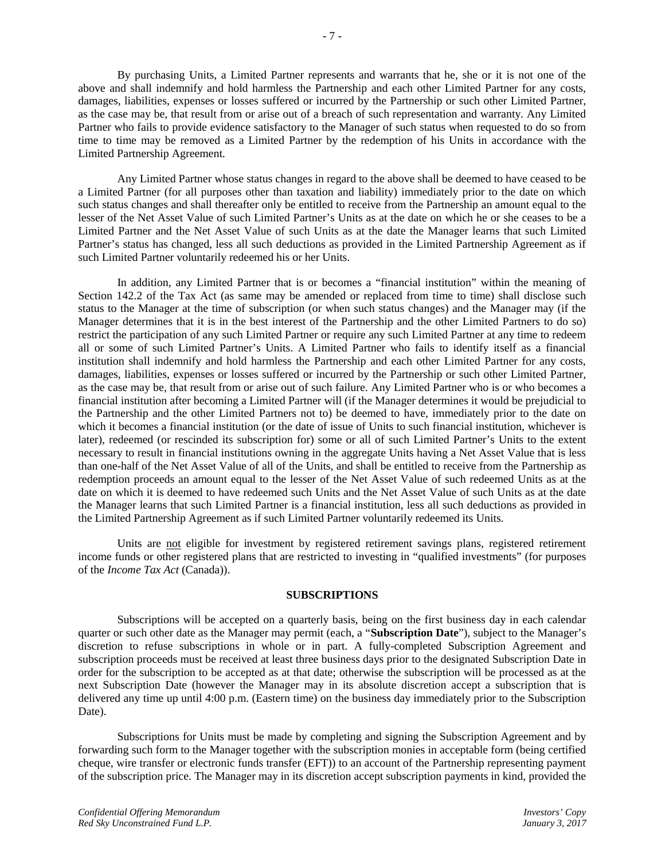By purchasing Units, a Limited Partner represents and warrants that he, she or it is not one of the above and shall indemnify and hold harmless the Partnership and each other Limited Partner for any costs, damages, liabilities, expenses or losses suffered or incurred by the Partnership or such other Limited Partner, as the case may be, that result from or arise out of a breach of such representation and warranty. Any Limited Partner who fails to provide evidence satisfactory to the Manager of such status when requested to do so from time to time may be removed as a Limited Partner by the redemption of his Units in accordance with the Limited Partnership Agreement.

Any Limited Partner whose status changes in regard to the above shall be deemed to have ceased to be a Limited Partner (for all purposes other than taxation and liability) immediately prior to the date on which such status changes and shall thereafter only be entitled to receive from the Partnership an amount equal to the lesser of the Net Asset Value of such Limited Partner's Units as at the date on which he or she ceases to be a Limited Partner and the Net Asset Value of such Units as at the date the Manager learns that such Limited Partner's status has changed, less all such deductions as provided in the Limited Partnership Agreement as if such Limited Partner voluntarily redeemed his or her Units.

In addition, any Limited Partner that is or becomes a "financial institution" within the meaning of Section 142.2 of the Tax Act (as same may be amended or replaced from time to time) shall disclose such status to the Manager at the time of subscription (or when such status changes) and the Manager may (if the Manager determines that it is in the best interest of the Partnership and the other Limited Partners to do so) restrict the participation of any such Limited Partner or require any such Limited Partner at any time to redeem all or some of such Limited Partner's Units. A Limited Partner who fails to identify itself as a financial institution shall indemnify and hold harmless the Partnership and each other Limited Partner for any costs, damages, liabilities, expenses or losses suffered or incurred by the Partnership or such other Limited Partner, as the case may be, that result from or arise out of such failure. Any Limited Partner who is or who becomes a financial institution after becoming a Limited Partner will (if the Manager determines it would be prejudicial to the Partnership and the other Limited Partners not to) be deemed to have, immediately prior to the date on which it becomes a financial institution (or the date of issue of Units to such financial institution, whichever is later), redeemed (or rescinded its subscription for) some or all of such Limited Partner's Units to the extent necessary to result in financial institutions owning in the aggregate Units having a Net Asset Value that is less than one-half of the Net Asset Value of all of the Units, and shall be entitled to receive from the Partnership as redemption proceeds an amount equal to the lesser of the Net Asset Value of such redeemed Units as at the date on which it is deemed to have redeemed such Units and the Net Asset Value of such Units as at the date the Manager learns that such Limited Partner is a financial institution, less all such deductions as provided in the Limited Partnership Agreement as if such Limited Partner voluntarily redeemed its Units.

Units are not eligible for investment by registered retirement savings plans, registered retirement income funds or other registered plans that are restricted to investing in "qualified investments" (for purposes of the *Income Tax Act* (Canada)).

#### **SUBSCRIPTIONS**

Subscriptions will be accepted on a quarterly basis, being on the first business day in each calendar quarter or such other date as the Manager may permit (each, a "**Subscription Date**"), subject to the Manager's discretion to refuse subscriptions in whole or in part. A fully-completed Subscription Agreement and subscription proceeds must be received at least three business days prior to the designated Subscription Date in order for the subscription to be accepted as at that date; otherwise the subscription will be processed as at the next Subscription Date (however the Manager may in its absolute discretion accept a subscription that is delivered any time up until 4:00 p.m. (Eastern time) on the business day immediately prior to the Subscription Date).

Subscriptions for Units must be made by completing and signing the Subscription Agreement and by forwarding such form to the Manager together with the subscription monies in acceptable form (being certified cheque, wire transfer or electronic funds transfer (EFT)) to an account of the Partnership representing payment of the subscription price. The Manager may in its discretion accept subscription payments in kind, provided the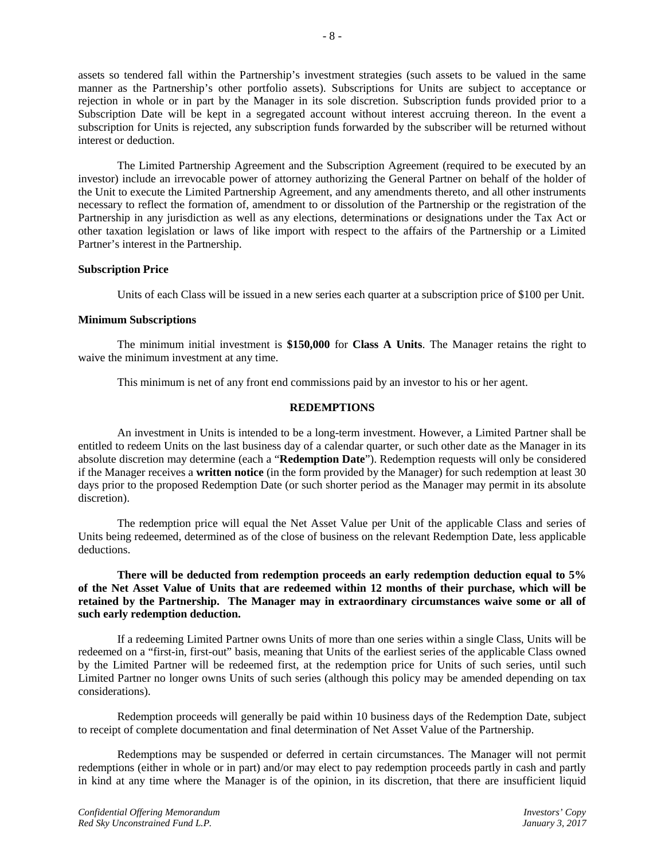assets so tendered fall within the Partnership's investment strategies (such assets to be valued in the same manner as the Partnership's other portfolio assets). Subscriptions for Units are subject to acceptance or rejection in whole or in part by the Manager in its sole discretion. Subscription funds provided prior to a Subscription Date will be kept in a segregated account without interest accruing thereon. In the event a subscription for Units is rejected, any subscription funds forwarded by the subscriber will be returned without interest or deduction.

The Limited Partnership Agreement and the Subscription Agreement (required to be executed by an investor) include an irrevocable power of attorney authorizing the General Partner on behalf of the holder of the Unit to execute the Limited Partnership Agreement, and any amendments thereto, and all other instruments necessary to reflect the formation of, amendment to or dissolution of the Partnership or the registration of the Partnership in any jurisdiction as well as any elections, determinations or designations under the Tax Act or other taxation legislation or laws of like import with respect to the affairs of the Partnership or a Limited Partner's interest in the Partnership.

## **Subscription Price**

Units of each Class will be issued in a new series each quarter at a subscription price of \$100 per Unit.

## **Minimum Subscriptions**

The minimum initial investment is **\$150,000** for **Class A Units**. The Manager retains the right to waive the minimum investment at any time.

This minimum is net of any front end commissions paid by an investor to his or her agent.

## **REDEMPTIONS**

An investment in Units is intended to be a long-term investment. However, a Limited Partner shall be entitled to redeem Units on the last business day of a calendar quarter, or such other date as the Manager in its absolute discretion may determine (each a "**Redemption Date**"). Redemption requests will only be considered if the Manager receives a **written notice** (in the form provided by the Manager) for such redemption at least 30 days prior to the proposed Redemption Date (or such shorter period as the Manager may permit in its absolute discretion).

The redemption price will equal the Net Asset Value per Unit of the applicable Class and series of Units being redeemed, determined as of the close of business on the relevant Redemption Date, less applicable deductions.

## **There will be deducted from redemption proceeds an early redemption deduction equal to 5% of the Net Asset Value of Units that are redeemed within 12 months of their purchase, which will be retained by the Partnership. The Manager may in extraordinary circumstances waive some or all of such early redemption deduction.**

If a redeeming Limited Partner owns Units of more than one series within a single Class, Units will be redeemed on a "first-in, first-out" basis, meaning that Units of the earliest series of the applicable Class owned by the Limited Partner will be redeemed first, at the redemption price for Units of such series, until such Limited Partner no longer owns Units of such series (although this policy may be amended depending on tax considerations).

Redemption proceeds will generally be paid within 10 business days of the Redemption Date, subject to receipt of complete documentation and final determination of Net Asset Value of the Partnership.

Redemptions may be suspended or deferred in certain circumstances. The Manager will not permit redemptions (either in whole or in part) and/or may elect to pay redemption proceeds partly in cash and partly in kind at any time where the Manager is of the opinion, in its discretion, that there are insufficient liquid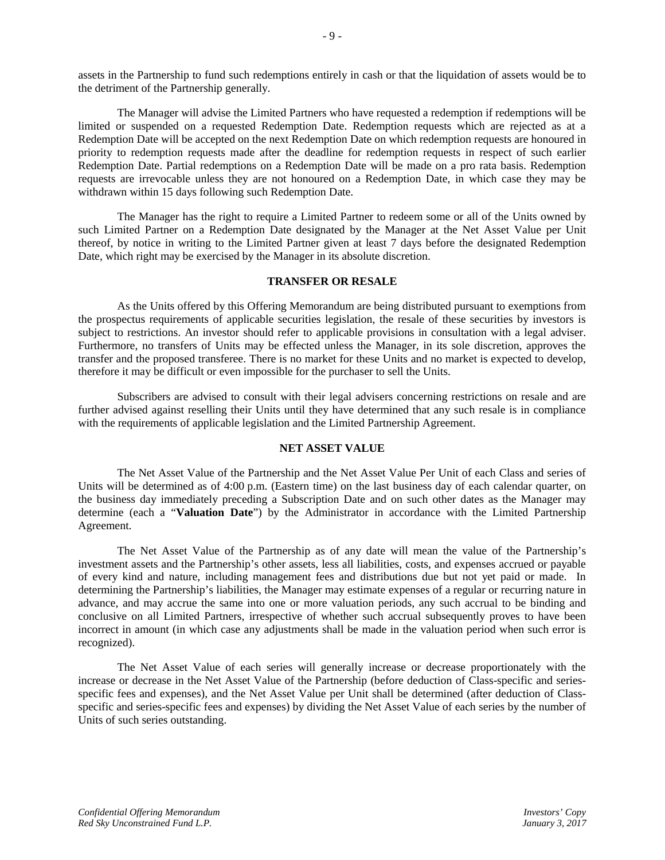assets in the Partnership to fund such redemptions entirely in cash or that the liquidation of assets would be to the detriment of the Partnership generally.

The Manager will advise the Limited Partners who have requested a redemption if redemptions will be limited or suspended on a requested Redemption Date. Redemption requests which are rejected as at a Redemption Date will be accepted on the next Redemption Date on which redemption requests are honoured in priority to redemption requests made after the deadline for redemption requests in respect of such earlier Redemption Date. Partial redemptions on a Redemption Date will be made on a pro rata basis. Redemption requests are irrevocable unless they are not honoured on a Redemption Date, in which case they may be withdrawn within 15 days following such Redemption Date.

The Manager has the right to require a Limited Partner to redeem some or all of the Units owned by such Limited Partner on a Redemption Date designated by the Manager at the Net Asset Value per Unit thereof, by notice in writing to the Limited Partner given at least 7 days before the designated Redemption Date, which right may be exercised by the Manager in its absolute discretion.

#### **TRANSFER OR RESALE**

As the Units offered by this Offering Memorandum are being distributed pursuant to exemptions from the prospectus requirements of applicable securities legislation, the resale of these securities by investors is subject to restrictions. An investor should refer to applicable provisions in consultation with a legal adviser. Furthermore, no transfers of Units may be effected unless the Manager, in its sole discretion, approves the transfer and the proposed transferee. There is no market for these Units and no market is expected to develop, therefore it may be difficult or even impossible for the purchaser to sell the Units.

Subscribers are advised to consult with their legal advisers concerning restrictions on resale and are further advised against reselling their Units until they have determined that any such resale is in compliance with the requirements of applicable legislation and the Limited Partnership Agreement.

## **NET ASSET VALUE**

The Net Asset Value of the Partnership and the Net Asset Value Per Unit of each Class and series of Units will be determined as of 4:00 p.m. (Eastern time) on the last business day of each calendar quarter, on the business day immediately preceding a Subscription Date and on such other dates as the Manager may determine (each a "**Valuation Date**") by the Administrator in accordance with the Limited Partnership Agreement.

The Net Asset Value of the Partnership as of any date will mean the value of the Partnership's investment assets and the Partnership's other assets, less all liabilities, costs, and expenses accrued or payable of every kind and nature, including management fees and distributions due but not yet paid or made. In determining the Partnership's liabilities, the Manager may estimate expenses of a regular or recurring nature in advance, and may accrue the same into one or more valuation periods, any such accrual to be binding and conclusive on all Limited Partners, irrespective of whether such accrual subsequently proves to have been incorrect in amount (in which case any adjustments shall be made in the valuation period when such error is recognized).

The Net Asset Value of each series will generally increase or decrease proportionately with the increase or decrease in the Net Asset Value of the Partnership (before deduction of Class-specific and seriesspecific fees and expenses), and the Net Asset Value per Unit shall be determined (after deduction of Classspecific and series-specific fees and expenses) by dividing the Net Asset Value of each series by the number of Units of such series outstanding.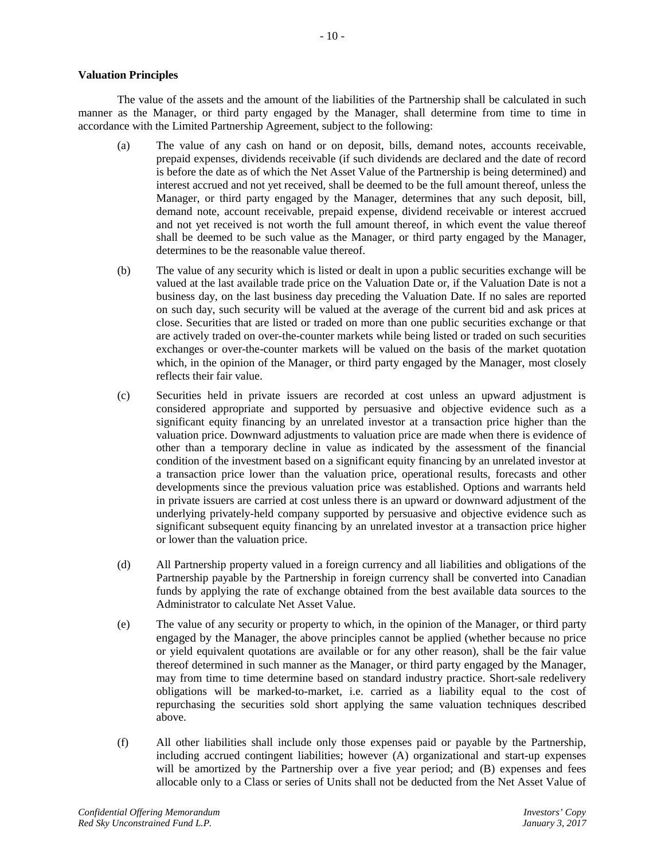## **Valuation Principles**

The value of the assets and the amount of the liabilities of the Partnership shall be calculated in such manner as the Manager, or third party engaged by the Manager, shall determine from time to time in accordance with the Limited Partnership Agreement, subject to the following:

- (a) The value of any cash on hand or on deposit, bills, demand notes, accounts receivable, prepaid expenses, dividends receivable (if such dividends are declared and the date of record is before the date as of which the Net Asset Value of the Partnership is being determined) and interest accrued and not yet received, shall be deemed to be the full amount thereof, unless the Manager, or third party engaged by the Manager, determines that any such deposit, bill, demand note, account receivable, prepaid expense, dividend receivable or interest accrued and not yet received is not worth the full amount thereof, in which event the value thereof shall be deemed to be such value as the Manager, or third party engaged by the Manager, determines to be the reasonable value thereof.
- (b) The value of any security which is listed or dealt in upon a public securities exchange will be valued at the last available trade price on the Valuation Date or, if the Valuation Date is not a business day, on the last business day preceding the Valuation Date. If no sales are reported on such day, such security will be valued at the average of the current bid and ask prices at close. Securities that are listed or traded on more than one public securities exchange or that are actively traded on over-the-counter markets while being listed or traded on such securities exchanges or over-the-counter markets will be valued on the basis of the market quotation which, in the opinion of the Manager, or third party engaged by the Manager, most closely reflects their fair value.
- (c) Securities held in private issuers are recorded at cost unless an upward adjustment is considered appropriate and supported by persuasive and objective evidence such as a significant equity financing by an unrelated investor at a transaction price higher than the valuation price. Downward adjustments to valuation price are made when there is evidence of other than a temporary decline in value as indicated by the assessment of the financial condition of the investment based on a significant equity financing by an unrelated investor at a transaction price lower than the valuation price, operational results, forecasts and other developments since the previous valuation price was established. Options and warrants held in private issuers are carried at cost unless there is an upward or downward adjustment of the underlying privately-held company supported by persuasive and objective evidence such as significant subsequent equity financing by an unrelated investor at a transaction price higher or lower than the valuation price.
- (d) All Partnership property valued in a foreign currency and all liabilities and obligations of the Partnership payable by the Partnership in foreign currency shall be converted into Canadian funds by applying the rate of exchange obtained from the best available data sources to the Administrator to calculate Net Asset Value.
- (e) The value of any security or property to which, in the opinion of the Manager, or third party engaged by the Manager, the above principles cannot be applied (whether because no price or yield equivalent quotations are available or for any other reason), shall be the fair value thereof determined in such manner as the Manager, or third party engaged by the Manager, may from time to time determine based on standard industry practice. Short-sale redelivery obligations will be marked-to-market, i.e. carried as a liability equal to the cost of repurchasing the securities sold short applying the same valuation techniques described above.
- (f) All other liabilities shall include only those expenses paid or payable by the Partnership, including accrued contingent liabilities; however (A) organizational and start-up expenses will be amortized by the Partnership over a five year period; and (B) expenses and fees allocable only to a Class or series of Units shall not be deducted from the Net Asset Value of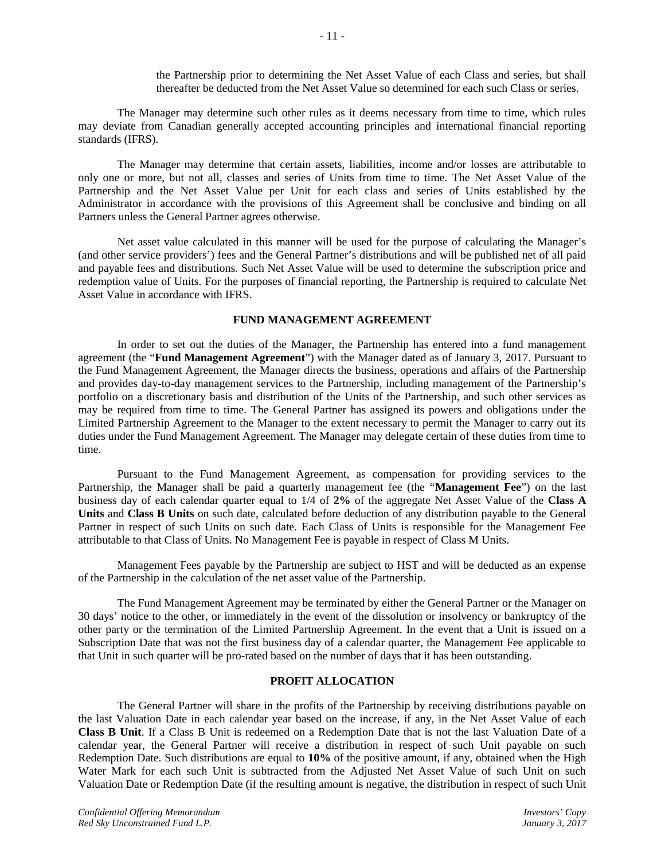The Manager may determine such other rules as it deems necessary from time to time, which rules may deviate from Canadian generally accepted accounting principles and international financial reporting standards (IFRS).

The Manager may determine that certain assets, liabilities, income and/or losses are attributable to only one or more, but not all, classes and series of Units from time to time. The Net Asset Value of the Partnership and the Net Asset Value per Unit for each class and series of Units established by the Administrator in accordance with the provisions of this Agreement shall be conclusive and binding on all Partners unless the General Partner agrees otherwise.

Net asset value calculated in this manner will be used for the purpose of calculating the Manager's (and other service providers') fees and the General Partner's distributions and will be published net of all paid and payable fees and distributions. Such Net Asset Value will be used to determine the subscription price and redemption value of Units. For the purposes of financial reporting, the Partnership is required to calculate Net Asset Value in accordance with IFRS.

## **FUND MANAGEMENT AGREEMENT**

In order to set out the duties of the Manager, the Partnership has entered into a fund management agreement (the "**Fund Management Agreement**") with the Manager dated as of January 3, 2017. Pursuant to the Fund Management Agreement, the Manager directs the business, operations and affairs of the Partnership and provides day-to-day management services to the Partnership, including management of the Partnership's portfolio on a discretionary basis and distribution of the Units of the Partnership, and such other services as may be required from time to time. The General Partner has assigned its powers and obligations under the Limited Partnership Agreement to the Manager to the extent necessary to permit the Manager to carry out its duties under the Fund Management Agreement. The Manager may delegate certain of these duties from time to time.

Pursuant to the Fund Management Agreement, as compensation for providing services to the Partnership, the Manager shall be paid a quarterly management fee (the "**Management Fee**") on the last business day of each calendar quarter equal to 1/4 of **2%** of the aggregate Net Asset Value of the **Class A Units** and **Class B Units** on such date, calculated before deduction of any distribution payable to the General Partner in respect of such Units on such date. Each Class of Units is responsible for the Management Fee attributable to that Class of Units. No Management Fee is payable in respect of Class M Units.

Management Fees payable by the Partnership are subject to HST and will be deducted as an expense of the Partnership in the calculation of the net asset value of the Partnership.

The Fund Management Agreement may be terminated by either the General Partner or the Manager on 30 days' notice to the other, or immediately in the event of the dissolution or insolvency or bankruptcy of the other party or the termination of the Limited Partnership Agreement. In the event that a Unit is issued on a Subscription Date that was not the first business day of a calendar quarter, the Management Fee applicable to that Unit in such quarter will be pro-rated based on the number of days that it has been outstanding.

# **PROFIT ALLOCATION**

The General Partner will share in the profits of the Partnership by receiving distributions payable on the last Valuation Date in each calendar year based on the increase, if any, in the Net Asset Value of each **Class B Unit**. If a Class B Unit is redeemed on a Redemption Date that is not the last Valuation Date of a calendar year, the General Partner will receive a distribution in respect of such Unit payable on such Redemption Date. Such distributions are equal to **10%** of the positive amount, if any, obtained when the High Water Mark for each such Unit is subtracted from the Adjusted Net Asset Value of such Unit on such Valuation Date or Redemption Date (if the resulting amount is negative, the distribution in respect of such Unit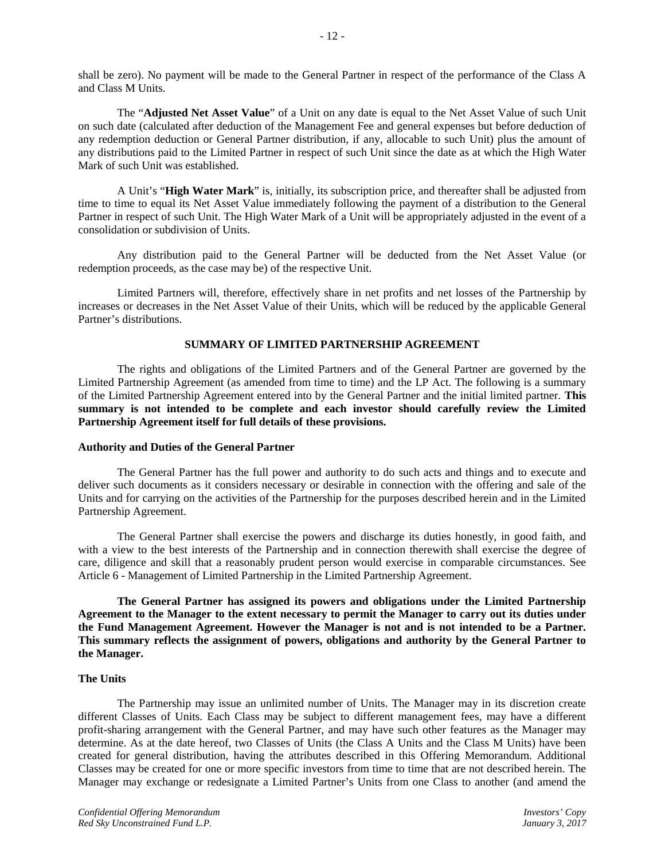shall be zero). No payment will be made to the General Partner in respect of the performance of the Class A and Class M Units.

The "**Adjusted Net Asset Value**" of a Unit on any date is equal to the Net Asset Value of such Unit on such date (calculated after deduction of the Management Fee and general expenses but before deduction of any redemption deduction or General Partner distribution, if any, allocable to such Unit) plus the amount of any distributions paid to the Limited Partner in respect of such Unit since the date as at which the High Water Mark of such Unit was established.

A Unit's "**High Water Mark**" is, initially, its subscription price, and thereafter shall be adjusted from time to time to equal its Net Asset Value immediately following the payment of a distribution to the General Partner in respect of such Unit. The High Water Mark of a Unit will be appropriately adjusted in the event of a consolidation or subdivision of Units.

Any distribution paid to the General Partner will be deducted from the Net Asset Value (or redemption proceeds, as the case may be) of the respective Unit.

Limited Partners will, therefore, effectively share in net profits and net losses of the Partnership by increases or decreases in the Net Asset Value of their Units, which will be reduced by the applicable General Partner's distributions.

#### **SUMMARY OF LIMITED PARTNERSHIP AGREEMENT**

The rights and obligations of the Limited Partners and of the General Partner are governed by the Limited Partnership Agreement (as amended from time to time) and the LP Act. The following is a summary of the Limited Partnership Agreement entered into by the General Partner and the initial limited partner. **This summary is not intended to be complete and each investor should carefully review the Limited Partnership Agreement itself for full details of these provisions.**

#### **Authority and Duties of the General Partner**

The General Partner has the full power and authority to do such acts and things and to execute and deliver such documents as it considers necessary or desirable in connection with the offering and sale of the Units and for carrying on the activities of the Partnership for the purposes described herein and in the Limited Partnership Agreement.

The General Partner shall exercise the powers and discharge its duties honestly, in good faith, and with a view to the best interests of the Partnership and in connection therewith shall exercise the degree of care, diligence and skill that a reasonably prudent person would exercise in comparable circumstances. See Article 6 - Management of Limited Partnership in the Limited Partnership Agreement.

**The General Partner has assigned its powers and obligations under the Limited Partnership Agreement to the Manager to the extent necessary to permit the Manager to carry out its duties under the Fund Management Agreement. However the Manager is not and is not intended to be a Partner. This summary reflects the assignment of powers, obligations and authority by the General Partner to the Manager.**

## **The Units**

The Partnership may issue an unlimited number of Units. The Manager may in its discretion create different Classes of Units. Each Class may be subject to different management fees, may have a different profit-sharing arrangement with the General Partner, and may have such other features as the Manager may determine. As at the date hereof, two Classes of Units (the Class A Units and the Class M Units) have been created for general distribution, having the attributes described in this Offering Memorandum. Additional Classes may be created for one or more specific investors from time to time that are not described herein. The Manager may exchange or redesignate a Limited Partner's Units from one Class to another (and amend the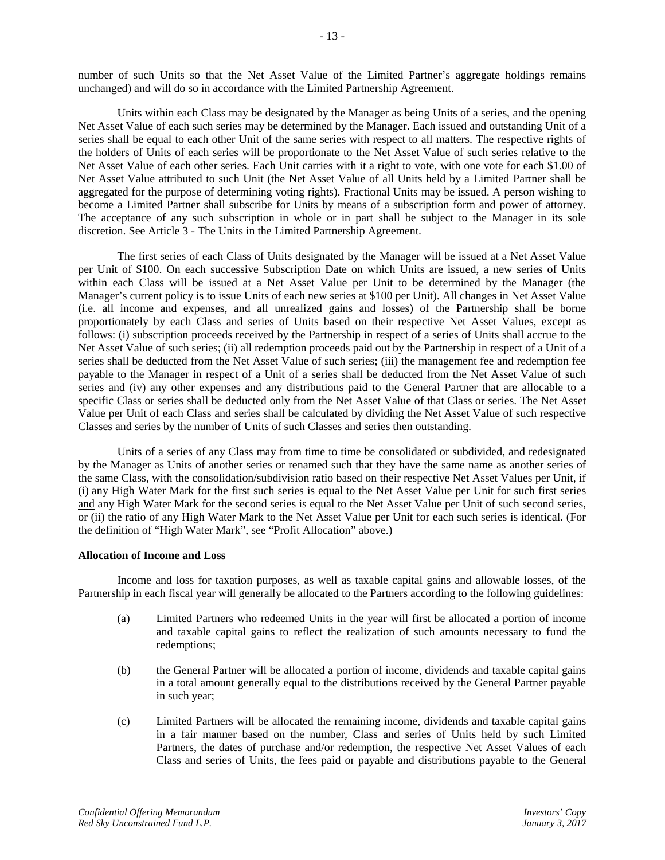number of such Units so that the Net Asset Value of the Limited Partner's aggregate holdings remains unchanged) and will do so in accordance with the Limited Partnership Agreement.

Units within each Class may be designated by the Manager as being Units of a series, and the opening Net Asset Value of each such series may be determined by the Manager. Each issued and outstanding Unit of a series shall be equal to each other Unit of the same series with respect to all matters. The respective rights of the holders of Units of each series will be proportionate to the Net Asset Value of such series relative to the Net Asset Value of each other series. Each Unit carries with it a right to vote, with one vote for each \$1.00 of Net Asset Value attributed to such Unit (the Net Asset Value of all Units held by a Limited Partner shall be aggregated for the purpose of determining voting rights). Fractional Units may be issued. A person wishing to become a Limited Partner shall subscribe for Units by means of a subscription form and power of attorney. The acceptance of any such subscription in whole or in part shall be subject to the Manager in its sole discretion. See Article 3 - The Units in the Limited Partnership Agreement.

The first series of each Class of Units designated by the Manager will be issued at a Net Asset Value per Unit of \$100. On each successive Subscription Date on which Units are issued, a new series of Units within each Class will be issued at a Net Asset Value per Unit to be determined by the Manager (the Manager's current policy is to issue Units of each new series at \$100 per Unit). All changes in Net Asset Value (i.e. all income and expenses, and all unrealized gains and losses) of the Partnership shall be borne proportionately by each Class and series of Units based on their respective Net Asset Values, except as follows: (i) subscription proceeds received by the Partnership in respect of a series of Units shall accrue to the Net Asset Value of such series; (ii) all redemption proceeds paid out by the Partnership in respect of a Unit of a series shall be deducted from the Net Asset Value of such series; (iii) the management fee and redemption fee payable to the Manager in respect of a Unit of a series shall be deducted from the Net Asset Value of such series and (iv) any other expenses and any distributions paid to the General Partner that are allocable to a specific Class or series shall be deducted only from the Net Asset Value of that Class or series. The Net Asset Value per Unit of each Class and series shall be calculated by dividing the Net Asset Value of such respective Classes and series by the number of Units of such Classes and series then outstanding.

Units of a series of any Class may from time to time be consolidated or subdivided, and redesignated by the Manager as Units of another series or renamed such that they have the same name as another series of the same Class, with the consolidation/subdivision ratio based on their respective Net Asset Values per Unit, if (i) any High Water Mark for the first such series is equal to the Net Asset Value per Unit for such first series and any High Water Mark for the second series is equal to the Net Asset Value per Unit of such second series, or (ii) the ratio of any High Water Mark to the Net Asset Value per Unit for each such series is identical. (For the definition of "High Water Mark", see "Profit Allocation" above.)

## **Allocation of Income and Loss**

Income and loss for taxation purposes, as well as taxable capital gains and allowable losses, of the Partnership in each fiscal year will generally be allocated to the Partners according to the following guidelines:

- (a) Limited Partners who redeemed Units in the year will first be allocated a portion of income and taxable capital gains to reflect the realization of such amounts necessary to fund the redemptions;
- (b) the General Partner will be allocated a portion of income, dividends and taxable capital gains in a total amount generally equal to the distributions received by the General Partner payable in such year;
- (c) Limited Partners will be allocated the remaining income, dividends and taxable capital gains in a fair manner based on the number, Class and series of Units held by such Limited Partners, the dates of purchase and/or redemption, the respective Net Asset Values of each Class and series of Units, the fees paid or payable and distributions payable to the General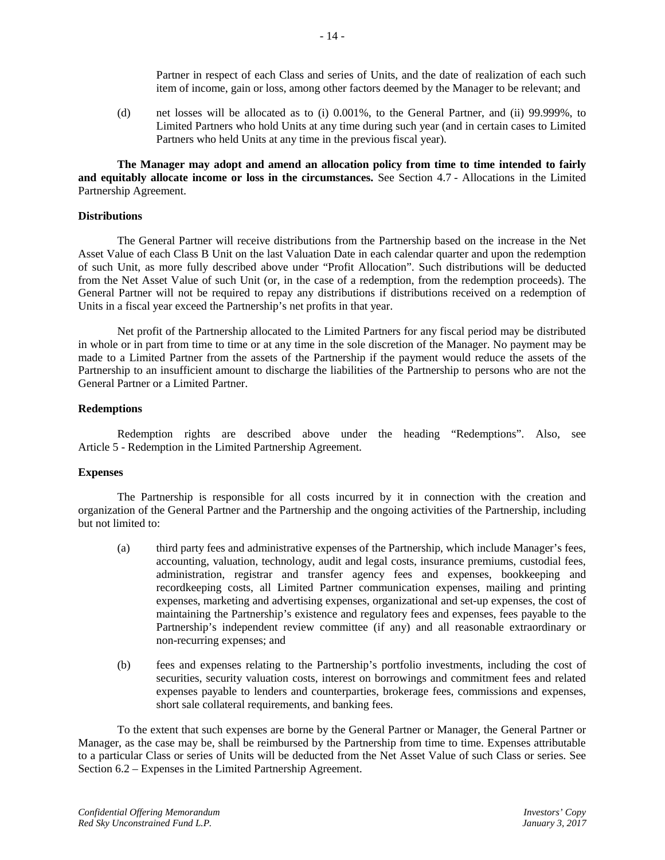Partner in respect of each Class and series of Units, and the date of realization of each such item of income, gain or loss, among other factors deemed by the Manager to be relevant; and

(d) net losses will be allocated as to (i) 0.001%, to the General Partner, and (ii) 99.999%, to Limited Partners who hold Units at any time during such year (and in certain cases to Limited Partners who held Units at any time in the previous fiscal year).

**The Manager may adopt and amend an allocation policy from time to time intended to fairly and equitably allocate income or loss in the circumstances.** See Section 4.7 - Allocations in the Limited Partnership Agreement.

#### **Distributions**

The General Partner will receive distributions from the Partnership based on the increase in the Net Asset Value of each Class B Unit on the last Valuation Date in each calendar quarter and upon the redemption of such Unit, as more fully described above under "Profit Allocation". Such distributions will be deducted from the Net Asset Value of such Unit (or, in the case of a redemption, from the redemption proceeds). The General Partner will not be required to repay any distributions if distributions received on a redemption of Units in a fiscal year exceed the Partnership's net profits in that year.

Net profit of the Partnership allocated to the Limited Partners for any fiscal period may be distributed in whole or in part from time to time or at any time in the sole discretion of the Manager. No payment may be made to a Limited Partner from the assets of the Partnership if the payment would reduce the assets of the Partnership to an insufficient amount to discharge the liabilities of the Partnership to persons who are not the General Partner or a Limited Partner.

#### **Redemptions**

Redemption rights are described above under the heading "Redemptions". Also, see Article 5 - Redemption in the Limited Partnership Agreement.

#### **Expenses**

The Partnership is responsible for all costs incurred by it in connection with the creation and organization of the General Partner and the Partnership and the ongoing activities of the Partnership, including but not limited to:

- (a) third party fees and administrative expenses of the Partnership, which include Manager's fees, accounting, valuation, technology, audit and legal costs, insurance premiums, custodial fees, administration, registrar and transfer agency fees and expenses, bookkeeping and recordkeeping costs, all Limited Partner communication expenses, mailing and printing expenses, marketing and advertising expenses, organizational and set-up expenses, the cost of maintaining the Partnership's existence and regulatory fees and expenses, fees payable to the Partnership's independent review committee (if any) and all reasonable extraordinary or non-recurring expenses; and
- (b) fees and expenses relating to the Partnership's portfolio investments, including the cost of securities, security valuation costs, interest on borrowings and commitment fees and related expenses payable to lenders and counterparties, brokerage fees, commissions and expenses, short sale collateral requirements, and banking fees.

To the extent that such expenses are borne by the General Partner or Manager, the General Partner or Manager, as the case may be, shall be reimbursed by the Partnership from time to time. Expenses attributable to a particular Class or series of Units will be deducted from the Net Asset Value of such Class or series. See Section 6.2 – Expenses in the Limited Partnership Agreement.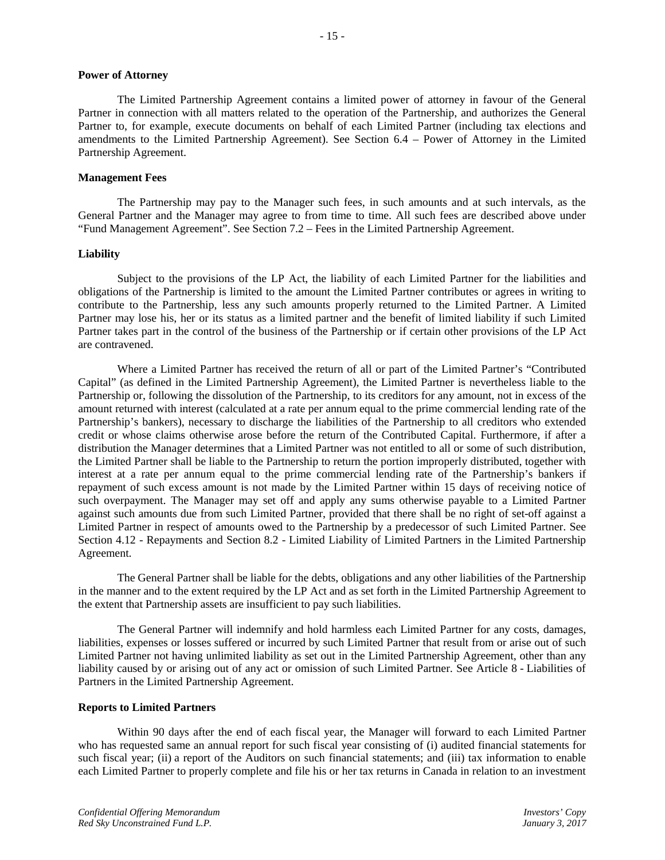## **Power of Attorney**

The Limited Partnership Agreement contains a limited power of attorney in favour of the General Partner in connection with all matters related to the operation of the Partnership, and authorizes the General Partner to, for example, execute documents on behalf of each Limited Partner (including tax elections and amendments to the Limited Partnership Agreement). See Section 6.4 – Power of Attorney in the Limited Partnership Agreement.

## **Management Fees**

The Partnership may pay to the Manager such fees, in such amounts and at such intervals, as the General Partner and the Manager may agree to from time to time. All such fees are described above under "Fund Management Agreement". See Section 7.2 – Fees in the Limited Partnership Agreement.

## **Liability**

Subject to the provisions of the LP Act, the liability of each Limited Partner for the liabilities and obligations of the Partnership is limited to the amount the Limited Partner contributes or agrees in writing to contribute to the Partnership, less any such amounts properly returned to the Limited Partner. A Limited Partner may lose his, her or its status as a limited partner and the benefit of limited liability if such Limited Partner takes part in the control of the business of the Partnership or if certain other provisions of the LP Act are contravened.

Where a Limited Partner has received the return of all or part of the Limited Partner's "Contributed Capital" (as defined in the Limited Partnership Agreement), the Limited Partner is nevertheless liable to the Partnership or, following the dissolution of the Partnership, to its creditors for any amount, not in excess of the amount returned with interest (calculated at a rate per annum equal to the prime commercial lending rate of the Partnership's bankers), necessary to discharge the liabilities of the Partnership to all creditors who extended credit or whose claims otherwise arose before the return of the Contributed Capital. Furthermore, if after a distribution the Manager determines that a Limited Partner was not entitled to all or some of such distribution, the Limited Partner shall be liable to the Partnership to return the portion improperly distributed, together with interest at a rate per annum equal to the prime commercial lending rate of the Partnership's bankers if repayment of such excess amount is not made by the Limited Partner within 15 days of receiving notice of such overpayment. The Manager may set off and apply any sums otherwise payable to a Limited Partner against such amounts due from such Limited Partner, provided that there shall be no right of set-off against a Limited Partner in respect of amounts owed to the Partnership by a predecessor of such Limited Partner. See Section 4.12 - Repayments and Section 8.2 - Limited Liability of Limited Partners in the Limited Partnership Agreement.

The General Partner shall be liable for the debts, obligations and any other liabilities of the Partnership in the manner and to the extent required by the LP Act and as set forth in the Limited Partnership Agreement to the extent that Partnership assets are insufficient to pay such liabilities.

The General Partner will indemnify and hold harmless each Limited Partner for any costs, damages, liabilities, expenses or losses suffered or incurred by such Limited Partner that result from or arise out of such Limited Partner not having unlimited liability as set out in the Limited Partnership Agreement, other than any liability caused by or arising out of any act or omission of such Limited Partner. See Article 8 - Liabilities of Partners in the Limited Partnership Agreement.

## **Reports to Limited Partners**

Within 90 days after the end of each fiscal year, the Manager will forward to each Limited Partner who has requested same an annual report for such fiscal year consisting of (i) audited financial statements for such fiscal year; (ii) a report of the Auditors on such financial statements; and (iii) tax information to enable each Limited Partner to properly complete and file his or her tax returns in Canada in relation to an investment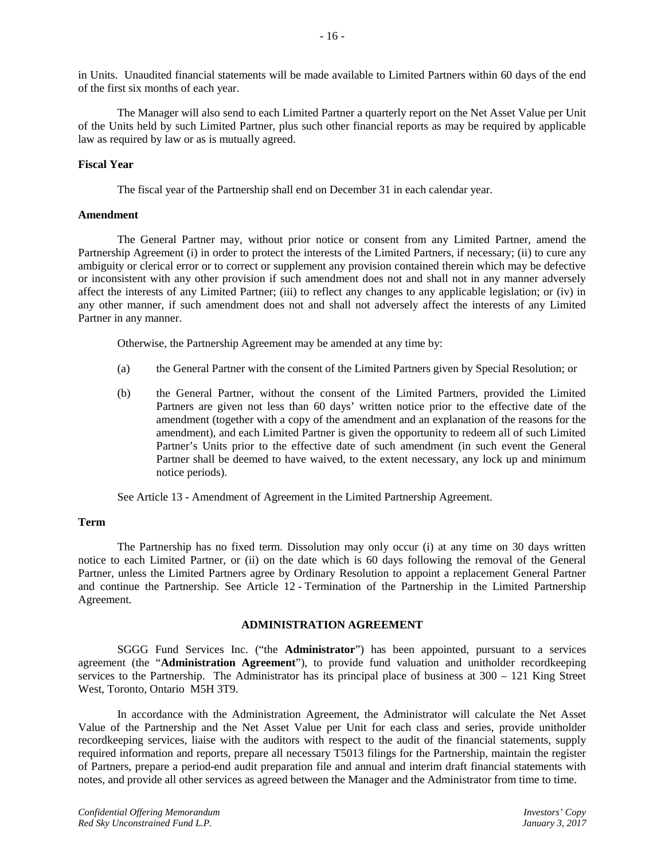in Units. Unaudited financial statements will be made available to Limited Partners within 60 days of the end of the first six months of each year.

The Manager will also send to each Limited Partner a quarterly report on the Net Asset Value per Unit of the Units held by such Limited Partner, plus such other financial reports as may be required by applicable law as required by law or as is mutually agreed.

## **Fiscal Year**

The fiscal year of the Partnership shall end on December 31 in each calendar year.

## **Amendment**

The General Partner may, without prior notice or consent from any Limited Partner, amend the Partnership Agreement (i) in order to protect the interests of the Limited Partners, if necessary; (ii) to cure any ambiguity or clerical error or to correct or supplement any provision contained therein which may be defective or inconsistent with any other provision if such amendment does not and shall not in any manner adversely affect the interests of any Limited Partner; (iii) to reflect any changes to any applicable legislation; or (iv) in any other manner, if such amendment does not and shall not adversely affect the interests of any Limited Partner in any manner.

Otherwise, the Partnership Agreement may be amended at any time by:

- (a) the General Partner with the consent of the Limited Partners given by Special Resolution; or
- (b) the General Partner, without the consent of the Limited Partners, provided the Limited Partners are given not less than 60 days' written notice prior to the effective date of the amendment (together with a copy of the amendment and an explanation of the reasons for the amendment), and each Limited Partner is given the opportunity to redeem all of such Limited Partner's Units prior to the effective date of such amendment (in such event the General Partner shall be deemed to have waived, to the extent necessary, any lock up and minimum notice periods).

See Article 13 - Amendment of Agreement in the Limited Partnership Agreement.

## **Term**

The Partnership has no fixed term. Dissolution may only occur (i) at any time on 30 days written notice to each Limited Partner, or (ii) on the date which is 60 days following the removal of the General Partner, unless the Limited Partners agree by Ordinary Resolution to appoint a replacement General Partner and continue the Partnership. See Article 12 - Termination of the Partnership in the Limited Partnership Agreement.

## **ADMINISTRATION AGREEMENT**

SGGG Fund Services Inc. ("the **Administrator**") has been appointed, pursuant to a services agreement (the "**Administration Agreement**"), to provide fund valuation and unitholder recordkeeping services to the Partnership. The Administrator has its principal place of business at 300 – 121 King Street West, Toronto, Ontario M5H 3T9.

In accordance with the Administration Agreement, the Administrator will calculate the Net Asset Value of the Partnership and the Net Asset Value per Unit for each class and series, provide unitholder recordkeeping services, liaise with the auditors with respect to the audit of the financial statements, supply required information and reports, prepare all necessary T5013 filings for the Partnership, maintain the register of Partners, prepare a period-end audit preparation file and annual and interim draft financial statements with notes, and provide all other services as agreed between the Manager and the Administrator from time to time.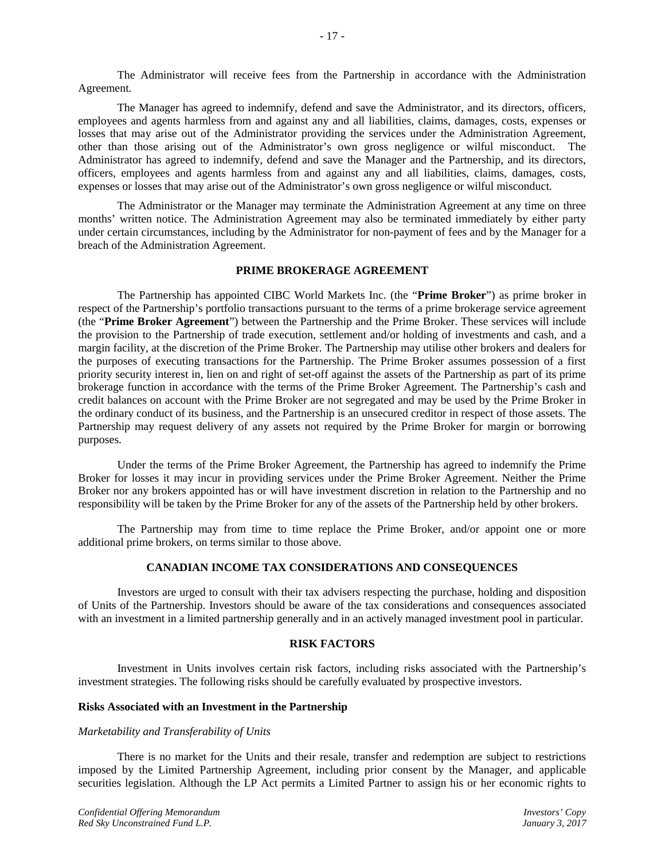The Administrator will receive fees from the Partnership in accordance with the Administration Agreement.

The Manager has agreed to indemnify, defend and save the Administrator, and its directors, officers, employees and agents harmless from and against any and all liabilities, claims, damages, costs, expenses or losses that may arise out of the Administrator providing the services under the Administration Agreement, other than those arising out of the Administrator's own gross negligence or wilful misconduct. The Administrator has agreed to indemnify, defend and save the Manager and the Partnership, and its directors, officers, employees and agents harmless from and against any and all liabilities, claims, damages, costs, expenses or losses that may arise out of the Administrator's own gross negligence or wilful misconduct.

The Administrator or the Manager may terminate the Administration Agreement at any time on three months' written notice. The Administration Agreement may also be terminated immediately by either party under certain circumstances, including by the Administrator for non-payment of fees and by the Manager for a breach of the Administration Agreement.

## **PRIME BROKERAGE AGREEMENT**

The Partnership has appointed CIBC World Markets Inc. (the "**Prime Broker**") as prime broker in respect of the Partnership's portfolio transactions pursuant to the terms of a prime brokerage service agreement (the "**Prime Broker Agreement**") between the Partnership and the Prime Broker. These services will include the provision to the Partnership of trade execution, settlement and/or holding of investments and cash, and a margin facility, at the discretion of the Prime Broker. The Partnership may utilise other brokers and dealers for the purposes of executing transactions for the Partnership. The Prime Broker assumes possession of a first priority security interest in, lien on and right of set-off against the assets of the Partnership as part of its prime brokerage function in accordance with the terms of the Prime Broker Agreement. The Partnership's cash and credit balances on account with the Prime Broker are not segregated and may be used by the Prime Broker in the ordinary conduct of its business, and the Partnership is an unsecured creditor in respect of those assets. The Partnership may request delivery of any assets not required by the Prime Broker for margin or borrowing purposes.

Under the terms of the Prime Broker Agreement, the Partnership has agreed to indemnify the Prime Broker for losses it may incur in providing services under the Prime Broker Agreement. Neither the Prime Broker nor any brokers appointed has or will have investment discretion in relation to the Partnership and no responsibility will be taken by the Prime Broker for any of the assets of the Partnership held by other brokers.

The Partnership may from time to time replace the Prime Broker, and/or appoint one or more additional prime brokers, on terms similar to those above.

## **CANADIAN INCOME TAX CONSIDERATIONS AND CONSEQUENCES**

Investors are urged to consult with their tax advisers respecting the purchase, holding and disposition of Units of the Partnership. Investors should be aware of the tax considerations and consequences associated with an investment in a limited partnership generally and in an actively managed investment pool in particular.

#### **RISK FACTORS**

Investment in Units involves certain risk factors, including risks associated with the Partnership's investment strategies. The following risks should be carefully evaluated by prospective investors.

#### **Risks Associated with an Investment in the Partnership**

## *Marketability and Transferability of Units*

There is no market for the Units and their resale, transfer and redemption are subject to restrictions imposed by the Limited Partnership Agreement, including prior consent by the Manager, and applicable securities legislation. Although the LP Act permits a Limited Partner to assign his or her economic rights to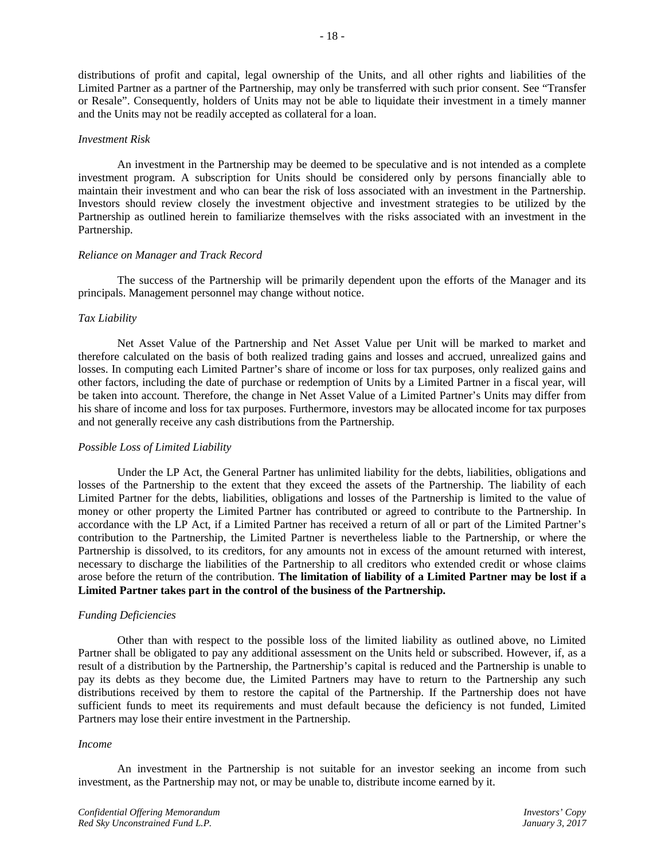distributions of profit and capital, legal ownership of the Units, and all other rights and liabilities of the Limited Partner as a partner of the Partnership, may only be transferred with such prior consent. See "Transfer or Resale". Consequently, holders of Units may not be able to liquidate their investment in a timely manner and the Units may not be readily accepted as collateral for a loan.

## *Investment Risk*

An investment in the Partnership may be deemed to be speculative and is not intended as a complete investment program. A subscription for Units should be considered only by persons financially able to maintain their investment and who can bear the risk of loss associated with an investment in the Partnership. Investors should review closely the investment objective and investment strategies to be utilized by the Partnership as outlined herein to familiarize themselves with the risks associated with an investment in the Partnership.

#### *Reliance on Manager and Track Record*

The success of the Partnership will be primarily dependent upon the efforts of the Manager and its principals. Management personnel may change without notice.

## *Tax Liability*

Net Asset Value of the Partnership and Net Asset Value per Unit will be marked to market and therefore calculated on the basis of both realized trading gains and losses and accrued, unrealized gains and losses. In computing each Limited Partner's share of income or loss for tax purposes, only realized gains and other factors, including the date of purchase or redemption of Units by a Limited Partner in a fiscal year, will be taken into account. Therefore, the change in Net Asset Value of a Limited Partner's Units may differ from his share of income and loss for tax purposes. Furthermore, investors may be allocated income for tax purposes and not generally receive any cash distributions from the Partnership.

## *Possible Loss of Limited Liability*

Under the LP Act, the General Partner has unlimited liability for the debts, liabilities, obligations and losses of the Partnership to the extent that they exceed the assets of the Partnership. The liability of each Limited Partner for the debts, liabilities, obligations and losses of the Partnership is limited to the value of money or other property the Limited Partner has contributed or agreed to contribute to the Partnership. In accordance with the LP Act, if a Limited Partner has received a return of all or part of the Limited Partner's contribution to the Partnership, the Limited Partner is nevertheless liable to the Partnership, or where the Partnership is dissolved, to its creditors, for any amounts not in excess of the amount returned with interest, necessary to discharge the liabilities of the Partnership to all creditors who extended credit or whose claims arose before the return of the contribution. **The limitation of liability of a Limited Partner may be lost if a Limited Partner takes part in the control of the business of the Partnership.**

## *Funding Deficiencies*

Other than with respect to the possible loss of the limited liability as outlined above, no Limited Partner shall be obligated to pay any additional assessment on the Units held or subscribed. However, if, as a result of a distribution by the Partnership, the Partnership's capital is reduced and the Partnership is unable to pay its debts as they become due, the Limited Partners may have to return to the Partnership any such distributions received by them to restore the capital of the Partnership. If the Partnership does not have sufficient funds to meet its requirements and must default because the deficiency is not funded, Limited Partners may lose their entire investment in the Partnership.

#### *Income*

An investment in the Partnership is not suitable for an investor seeking an income from such investment, as the Partnership may not, or may be unable to, distribute income earned by it.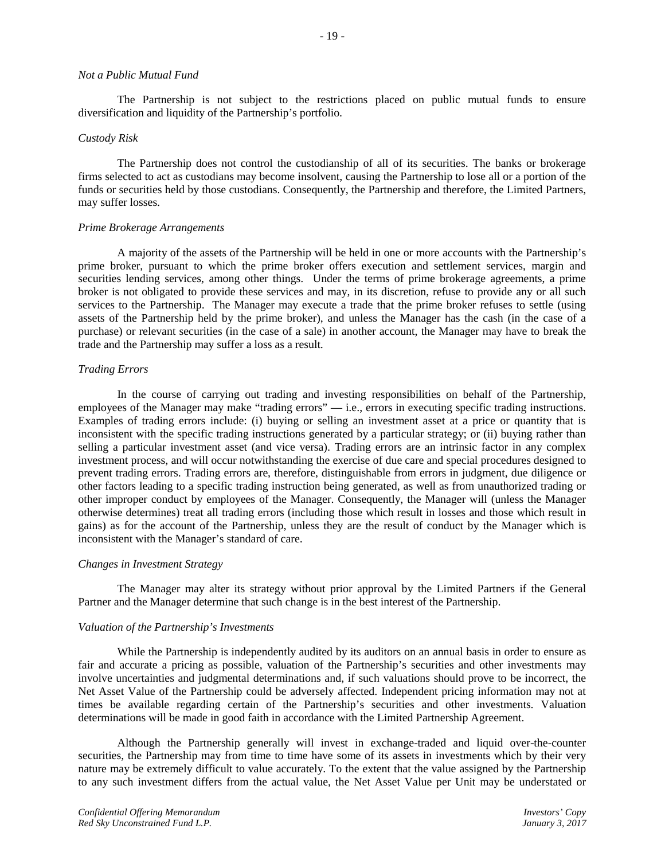#### *Not a Public Mutual Fund*

The Partnership is not subject to the restrictions placed on public mutual funds to ensure diversification and liquidity of the Partnership's portfolio.

#### *Custody Risk*

The Partnership does not control the custodianship of all of its securities. The banks or brokerage firms selected to act as custodians may become insolvent, causing the Partnership to lose all or a portion of the funds or securities held by those custodians. Consequently, the Partnership and therefore, the Limited Partners, may suffer losses.

#### *Prime Brokerage Arrangements*

A majority of the assets of the Partnership will be held in one or more accounts with the Partnership's prime broker, pursuant to which the prime broker offers execution and settlement services, margin and securities lending services, among other things. Under the terms of prime brokerage agreements, a prime broker is not obligated to provide these services and may, in its discretion, refuse to provide any or all such services to the Partnership. The Manager may execute a trade that the prime broker refuses to settle (using assets of the Partnership held by the prime broker), and unless the Manager has the cash (in the case of a purchase) or relevant securities (in the case of a sale) in another account, the Manager may have to break the trade and the Partnership may suffer a loss as a result.

#### *Trading Errors*

In the course of carrying out trading and investing responsibilities on behalf of the Partnership, employees of the Manager may make "trading errors" — i.e., errors in executing specific trading instructions. Examples of trading errors include: (i) buying or selling an investment asset at a price or quantity that is inconsistent with the specific trading instructions generated by a particular strategy; or (ii) buying rather than selling a particular investment asset (and vice versa). Trading errors are an intrinsic factor in any complex investment process, and will occur notwithstanding the exercise of due care and special procedures designed to prevent trading errors. Trading errors are, therefore, distinguishable from errors in judgment, due diligence or other factors leading to a specific trading instruction being generated, as well as from unauthorized trading or other improper conduct by employees of the Manager. Consequently, the Manager will (unless the Manager otherwise determines) treat all trading errors (including those which result in losses and those which result in gains) as for the account of the Partnership, unless they are the result of conduct by the Manager which is inconsistent with the Manager's standard of care.

#### *Changes in Investment Strategy*

The Manager may alter its strategy without prior approval by the Limited Partners if the General Partner and the Manager determine that such change is in the best interest of the Partnership.

#### *Valuation of the Partnership's Investments*

While the Partnership is independently audited by its auditors on an annual basis in order to ensure as fair and accurate a pricing as possible, valuation of the Partnership's securities and other investments may involve uncertainties and judgmental determinations and, if such valuations should prove to be incorrect, the Net Asset Value of the Partnership could be adversely affected. Independent pricing information may not at times be available regarding certain of the Partnership's securities and other investments. Valuation determinations will be made in good faith in accordance with the Limited Partnership Agreement.

Although the Partnership generally will invest in exchange-traded and liquid over-the-counter securities, the Partnership may from time to time have some of its assets in investments which by their very nature may be extremely difficult to value accurately. To the extent that the value assigned by the Partnership to any such investment differs from the actual value, the Net Asset Value per Unit may be understated or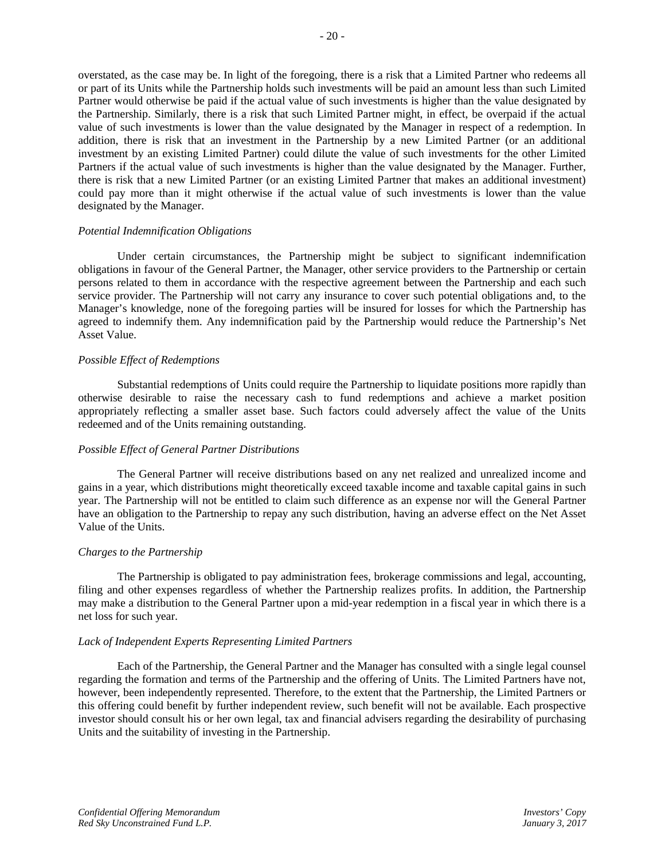overstated, as the case may be. In light of the foregoing, there is a risk that a Limited Partner who redeems all or part of its Units while the Partnership holds such investments will be paid an amount less than such Limited Partner would otherwise be paid if the actual value of such investments is higher than the value designated by the Partnership. Similarly, there is a risk that such Limited Partner might, in effect, be overpaid if the actual value of such investments is lower than the value designated by the Manager in respect of a redemption. In addition, there is risk that an investment in the Partnership by a new Limited Partner (or an additional investment by an existing Limited Partner) could dilute the value of such investments for the other Limited Partners if the actual value of such investments is higher than the value designated by the Manager. Further, there is risk that a new Limited Partner (or an existing Limited Partner that makes an additional investment) could pay more than it might otherwise if the actual value of such investments is lower than the value designated by the Manager.

#### *Potential Indemnification Obligations*

Under certain circumstances, the Partnership might be subject to significant indemnification obligations in favour of the General Partner, the Manager, other service providers to the Partnership or certain persons related to them in accordance with the respective agreement between the Partnership and each such service provider. The Partnership will not carry any insurance to cover such potential obligations and, to the Manager's knowledge, none of the foregoing parties will be insured for losses for which the Partnership has agreed to indemnify them. Any indemnification paid by the Partnership would reduce the Partnership's Net Asset Value.

#### *Possible Effect of Redemptions*

Substantial redemptions of Units could require the Partnership to liquidate positions more rapidly than otherwise desirable to raise the necessary cash to fund redemptions and achieve a market position appropriately reflecting a smaller asset base. Such factors could adversely affect the value of the Units redeemed and of the Units remaining outstanding.

## *Possible Effect of General Partner Distributions*

The General Partner will receive distributions based on any net realized and unrealized income and gains in a year, which distributions might theoretically exceed taxable income and taxable capital gains in such year. The Partnership will not be entitled to claim such difference as an expense nor will the General Partner have an obligation to the Partnership to repay any such distribution, having an adverse effect on the Net Asset Value of the Units.

## *Charges to the Partnership*

The Partnership is obligated to pay administration fees, brokerage commissions and legal, accounting, filing and other expenses regardless of whether the Partnership realizes profits. In addition, the Partnership may make a distribution to the General Partner upon a mid-year redemption in a fiscal year in which there is a net loss for such year.

#### *Lack of Independent Experts Representing Limited Partners*

Each of the Partnership, the General Partner and the Manager has consulted with a single legal counsel regarding the formation and terms of the Partnership and the offering of Units. The Limited Partners have not, however, been independently represented. Therefore, to the extent that the Partnership, the Limited Partners or this offering could benefit by further independent review, such benefit will not be available. Each prospective investor should consult his or her own legal, tax and financial advisers regarding the desirability of purchasing Units and the suitability of investing in the Partnership.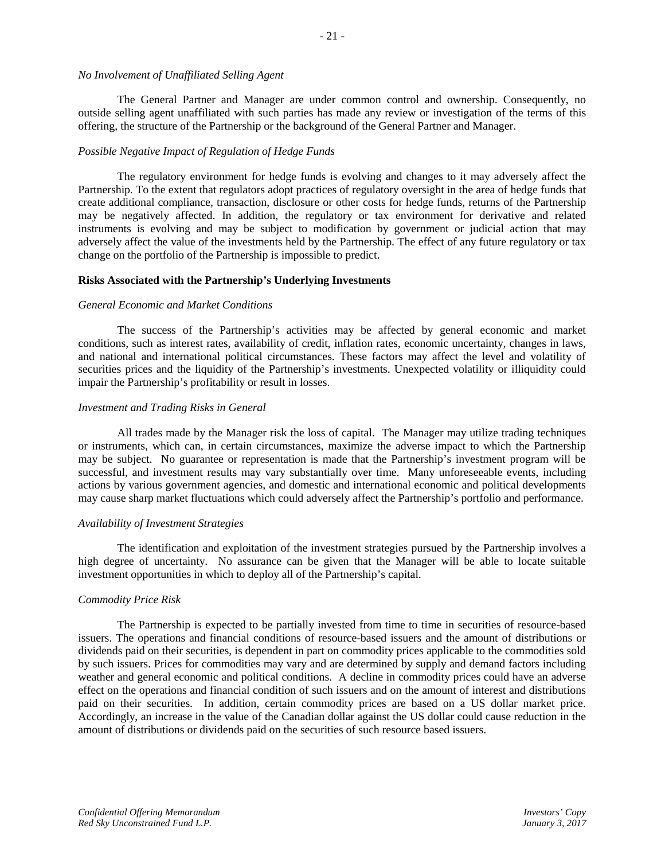# *No Involvement of Unaffiliated Selling Agent*

The General Partner and Manager are under common control and ownership. Consequently, no outside selling agent unaffiliated with such parties has made any review or investigation of the terms of this offering, the structure of the Partnership or the background of the General Partner and Manager.

## *Possible Negative Impact of Regulation of Hedge Funds*

The regulatory environment for hedge funds is evolving and changes to it may adversely affect the Partnership. To the extent that regulators adopt practices of regulatory oversight in the area of hedge funds that create additional compliance, transaction, disclosure or other costs for hedge funds, returns of the Partnership may be negatively affected. In addition, the regulatory or tax environment for derivative and related instruments is evolving and may be subject to modification by government or judicial action that may adversely affect the value of the investments held by the Partnership. The effect of any future regulatory or tax change on the portfolio of the Partnership is impossible to predict.

#### **Risks Associated with the Partnership's Underlying Investments**

#### *General Economic and Market Conditions*

The success of the Partnership's activities may be affected by general economic and market conditions, such as interest rates, availability of credit, inflation rates, economic uncertainty, changes in laws, and national and international political circumstances. These factors may affect the level and volatility of securities prices and the liquidity of the Partnership's investments. Unexpected volatility or illiquidity could impair the Partnership's profitability or result in losses.

#### *Investment and Trading Risks in General*

All trades made by the Manager risk the loss of capital. The Manager may utilize trading techniques or instruments, which can, in certain circumstances, maximize the adverse impact to which the Partnership may be subject. No guarantee or representation is made that the Partnership's investment program will be successful, and investment results may vary substantially over time. Many unforeseeable events, including actions by various government agencies, and domestic and international economic and political developments may cause sharp market fluctuations which could adversely affect the Partnership's portfolio and performance.

#### *Availability of Investment Strategies*

The identification and exploitation of the investment strategies pursued by the Partnership involves a high degree of uncertainty. No assurance can be given that the Manager will be able to locate suitable investment opportunities in which to deploy all of the Partnership's capital.

## *Commodity Price Risk*

The Partnership is expected to be partially invested from time to time in securities of resource-based issuers. The operations and financial conditions of resource-based issuers and the amount of distributions or dividends paid on their securities, is dependent in part on commodity prices applicable to the commodities sold by such issuers. Prices for commodities may vary and are determined by supply and demand factors including weather and general economic and political conditions. A decline in commodity prices could have an adverse effect on the operations and financial condition of such issuers and on the amount of interest and distributions paid on their securities. In addition, certain commodity prices are based on a US dollar market price. Accordingly, an increase in the value of the Canadian dollar against the US dollar could cause reduction in the amount of distributions or dividends paid on the securities of such resource based issuers.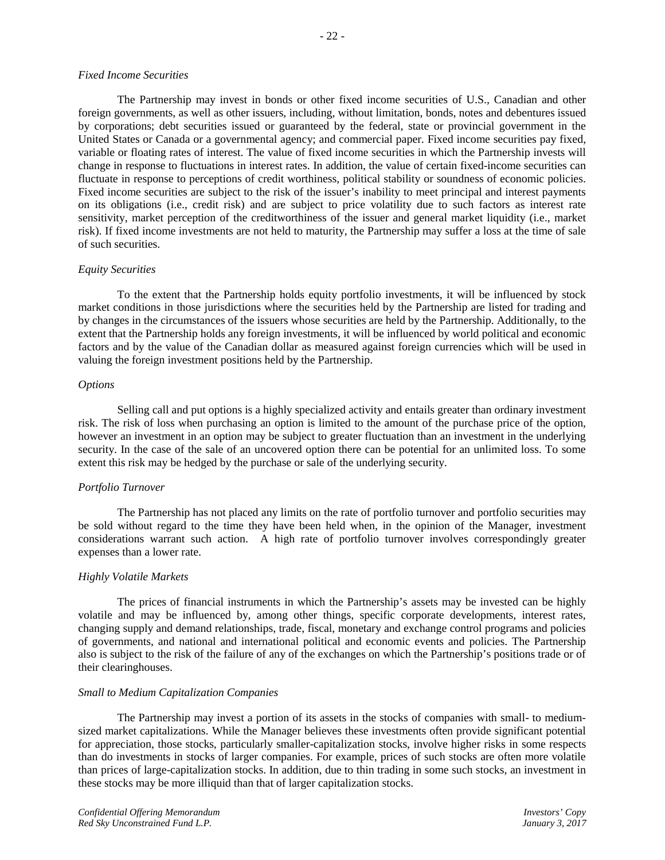## *Fixed Income Securities*

The Partnership may invest in bonds or other fixed income securities of U.S., Canadian and other foreign governments, as well as other issuers, including, without limitation, bonds, notes and debentures issued by corporations; debt securities issued or guaranteed by the federal, state or provincial government in the United States or Canada or a governmental agency; and commercial paper. Fixed income securities pay fixed, variable or floating rates of interest. The value of fixed income securities in which the Partnership invests will change in response to fluctuations in interest rates. In addition, the value of certain fixed-income securities can fluctuate in response to perceptions of credit worthiness, political stability or soundness of economic policies. Fixed income securities are subject to the risk of the issuer's inability to meet principal and interest payments on its obligations (i.e., credit risk) and are subject to price volatility due to such factors as interest rate sensitivity, market perception of the creditworthiness of the issuer and general market liquidity (i.e., market risk). If fixed income investments are not held to maturity, the Partnership may suffer a loss at the time of sale of such securities.

## *Equity Securities*

To the extent that the Partnership holds equity portfolio investments, it will be influenced by stock market conditions in those jurisdictions where the securities held by the Partnership are listed for trading and by changes in the circumstances of the issuers whose securities are held by the Partnership. Additionally, to the extent that the Partnership holds any foreign investments, it will be influenced by world political and economic factors and by the value of the Canadian dollar as measured against foreign currencies which will be used in valuing the foreign investment positions held by the Partnership.

#### *Options*

Selling call and put options is a highly specialized activity and entails greater than ordinary investment risk. The risk of loss when purchasing an option is limited to the amount of the purchase price of the option, however an investment in an option may be subject to greater fluctuation than an investment in the underlying security. In the case of the sale of an uncovered option there can be potential for an unlimited loss. To some extent this risk may be hedged by the purchase or sale of the underlying security.

## *Portfolio Turnover*

The Partnership has not placed any limits on the rate of portfolio turnover and portfolio securities may be sold without regard to the time they have been held when, in the opinion of the Manager, investment considerations warrant such action. A high rate of portfolio turnover involves correspondingly greater expenses than a lower rate.

## *Highly Volatile Markets*

The prices of financial instruments in which the Partnership's assets may be invested can be highly volatile and may be influenced by, among other things, specific corporate developments, interest rates, changing supply and demand relationships, trade, fiscal, monetary and exchange control programs and policies of governments, and national and international political and economic events and policies. The Partnership also is subject to the risk of the failure of any of the exchanges on which the Partnership's positions trade or of their clearinghouses.

#### *Small to Medium Capitalization Companies*

The Partnership may invest a portion of its assets in the stocks of companies with small- to mediumsized market capitalizations. While the Manager believes these investments often provide significant potential for appreciation, those stocks, particularly smaller-capitalization stocks, involve higher risks in some respects than do investments in stocks of larger companies. For example, prices of such stocks are often more volatile than prices of large-capitalization stocks. In addition, due to thin trading in some such stocks, an investment in these stocks may be more illiquid than that of larger capitalization stocks.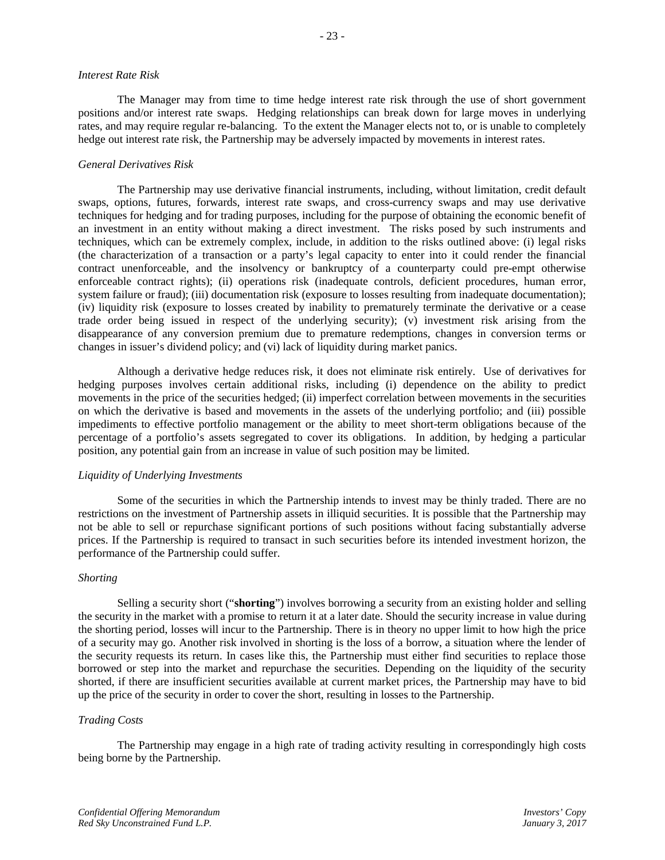#### *Interest Rate Risk*

The Manager may from time to time hedge interest rate risk through the use of short government positions and/or interest rate swaps. Hedging relationships can break down for large moves in underlying rates, and may require regular re-balancing. To the extent the Manager elects not to, or is unable to completely hedge out interest rate risk, the Partnership may be adversely impacted by movements in interest rates.

## *General Derivatives Risk*

The Partnership may use derivative financial instruments, including, without limitation, credit default swaps, options, futures, forwards, interest rate swaps, and cross-currency swaps and may use derivative techniques for hedging and for trading purposes, including for the purpose of obtaining the economic benefit of an investment in an entity without making a direct investment. The risks posed by such instruments and techniques, which can be extremely complex, include, in addition to the risks outlined above: (i) legal risks (the characterization of a transaction or a party's legal capacity to enter into it could render the financial contract unenforceable, and the insolvency or bankruptcy of a counterparty could pre-empt otherwise enforceable contract rights); (ii) operations risk (inadequate controls, deficient procedures, human error, system failure or fraud); (iii) documentation risk (exposure to losses resulting from inadequate documentation); (iv) liquidity risk (exposure to losses created by inability to prematurely terminate the derivative or a cease trade order being issued in respect of the underlying security); (v) investment risk arising from the disappearance of any conversion premium due to premature redemptions, changes in conversion terms or changes in issuer's dividend policy; and (vi) lack of liquidity during market panics.

Although a derivative hedge reduces risk, it does not eliminate risk entirely. Use of derivatives for hedging purposes involves certain additional risks, including (i) dependence on the ability to predict movements in the price of the securities hedged; (ii) imperfect correlation between movements in the securities on which the derivative is based and movements in the assets of the underlying portfolio; and (iii) possible impediments to effective portfolio management or the ability to meet short-term obligations because of the percentage of a portfolio's assets segregated to cover its obligations. In addition, by hedging a particular position, any potential gain from an increase in value of such position may be limited.

## *Liquidity of Underlying Investments*

Some of the securities in which the Partnership intends to invest may be thinly traded. There are no restrictions on the investment of Partnership assets in illiquid securities. It is possible that the Partnership may not be able to sell or repurchase significant portions of such positions without facing substantially adverse prices. If the Partnership is required to transact in such securities before its intended investment horizon, the performance of the Partnership could suffer.

## *Shorting*

Selling a security short ("**shorting**") involves borrowing a security from an existing holder and selling the security in the market with a promise to return it at a later date. Should the security increase in value during the shorting period, losses will incur to the Partnership. There is in theory no upper limit to how high the price of a security may go. Another risk involved in shorting is the loss of a borrow, a situation where the lender of the security requests its return. In cases like this, the Partnership must either find securities to replace those borrowed or step into the market and repurchase the securities. Depending on the liquidity of the security shorted, if there are insufficient securities available at current market prices, the Partnership may have to bid up the price of the security in order to cover the short, resulting in losses to the Partnership.

## *Trading Costs*

The Partnership may engage in a high rate of trading activity resulting in correspondingly high costs being borne by the Partnership.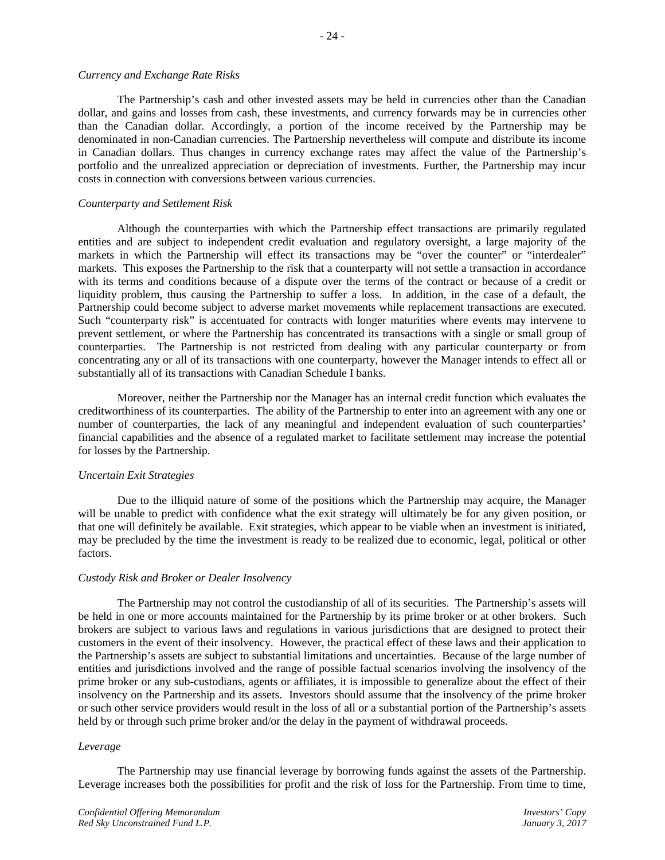#### *Currency and Exchange Rate Risks*

The Partnership's cash and other invested assets may be held in currencies other than the Canadian dollar, and gains and losses from cash, these investments, and currency forwards may be in currencies other than the Canadian dollar. Accordingly, a portion of the income received by the Partnership may be denominated in non-Canadian currencies. The Partnership nevertheless will compute and distribute its income in Canadian dollars. Thus changes in currency exchange rates may affect the value of the Partnership's portfolio and the unrealized appreciation or depreciation of investments. Further, the Partnership may incur costs in connection with conversions between various currencies.

## *Counterparty and Settlement Risk*

Although the counterparties with which the Partnership effect transactions are primarily regulated entities and are subject to independent credit evaluation and regulatory oversight, a large majority of the markets in which the Partnership will effect its transactions may be "over the counter" or "interdealer" markets. This exposes the Partnership to the risk that a counterparty will not settle a transaction in accordance with its terms and conditions because of a dispute over the terms of the contract or because of a credit or liquidity problem, thus causing the Partnership to suffer a loss. In addition, in the case of a default, the Partnership could become subject to adverse market movements while replacement transactions are executed. Such "counterparty risk" is accentuated for contracts with longer maturities where events may intervene to prevent settlement, or where the Partnership has concentrated its transactions with a single or small group of counterparties. The Partnership is not restricted from dealing with any particular counterparty or from concentrating any or all of its transactions with one counterparty, however the Manager intends to effect all or substantially all of its transactions with Canadian Schedule I banks.

Moreover, neither the Partnership nor the Manager has an internal credit function which evaluates the creditworthiness of its counterparties. The ability of the Partnership to enter into an agreement with any one or number of counterparties, the lack of any meaningful and independent evaluation of such counterparties' financial capabilities and the absence of a regulated market to facilitate settlement may increase the potential for losses by the Partnership.

## *Uncertain Exit Strategies*

Due to the illiquid nature of some of the positions which the Partnership may acquire, the Manager will be unable to predict with confidence what the exit strategy will ultimately be for any given position, or that one will definitely be available. Exit strategies, which appear to be viable when an investment is initiated, may be precluded by the time the investment is ready to be realized due to economic, legal, political or other factors.

## *Custody Risk and Broker or Dealer Insolvency*

The Partnership may not control the custodianship of all of its securities. The Partnership's assets will be held in one or more accounts maintained for the Partnership by its prime broker or at other brokers. Such brokers are subject to various laws and regulations in various jurisdictions that are designed to protect their customers in the event of their insolvency. However, the practical effect of these laws and their application to the Partnership's assets are subject to substantial limitations and uncertainties. Because of the large number of entities and jurisdictions involved and the range of possible factual scenarios involving the insolvency of the prime broker or any sub-custodians, agents or affiliates, it is impossible to generalize about the effect of their insolvency on the Partnership and its assets. Investors should assume that the insolvency of the prime broker or such other service providers would result in the loss of all or a substantial portion of the Partnership's assets held by or through such prime broker and/or the delay in the payment of withdrawal proceeds.

## *Leverage*

The Partnership may use financial leverage by borrowing funds against the assets of the Partnership. Leverage increases both the possibilities for profit and the risk of loss for the Partnership. From time to time,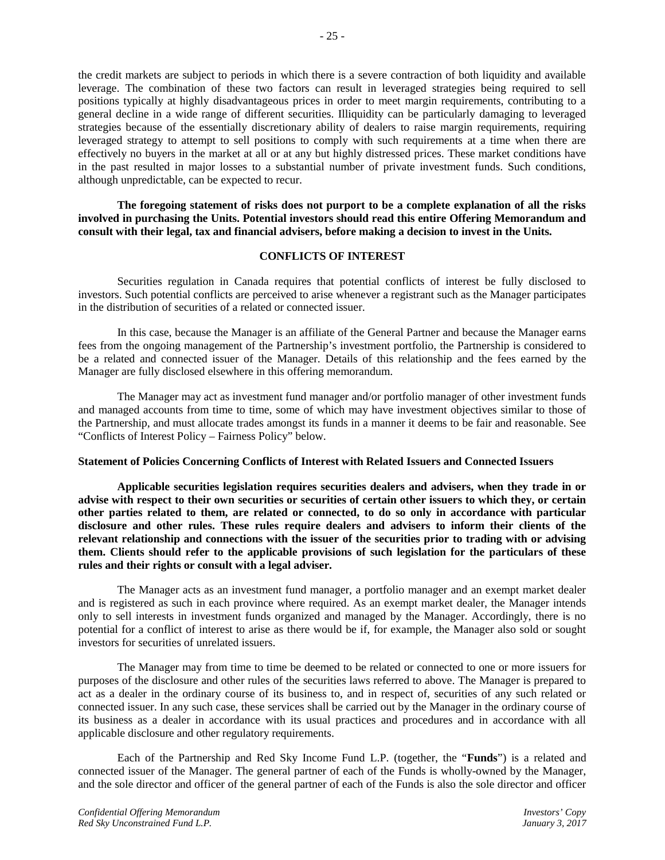the credit markets are subject to periods in which there is a severe contraction of both liquidity and available leverage. The combination of these two factors can result in leveraged strategies being required to sell positions typically at highly disadvantageous prices in order to meet margin requirements, contributing to a general decline in a wide range of different securities. Illiquidity can be particularly damaging to leveraged strategies because of the essentially discretionary ability of dealers to raise margin requirements, requiring leveraged strategy to attempt to sell positions to comply with such requirements at a time when there are effectively no buyers in the market at all or at any but highly distressed prices. These market conditions have in the past resulted in major losses to a substantial number of private investment funds. Such conditions, although unpredictable, can be expected to recur.

**The foregoing statement of risks does not purport to be a complete explanation of all the risks involved in purchasing the Units. Potential investors should read this entire Offering Memorandum and consult with their legal, tax and financial advisers, before making a decision to invest in the Units.**

## **CONFLICTS OF INTEREST**

Securities regulation in Canada requires that potential conflicts of interest be fully disclosed to investors. Such potential conflicts are perceived to arise whenever a registrant such as the Manager participates in the distribution of securities of a related or connected issuer.

In this case, because the Manager is an affiliate of the General Partner and because the Manager earns fees from the ongoing management of the Partnership's investment portfolio, the Partnership is considered to be a related and connected issuer of the Manager. Details of this relationship and the fees earned by the Manager are fully disclosed elsewhere in this offering memorandum.

The Manager may act as investment fund manager and/or portfolio manager of other investment funds and managed accounts from time to time, some of which may have investment objectives similar to those of the Partnership, and must allocate trades amongst its funds in a manner it deems to be fair and reasonable. See "Conflicts of Interest Policy – Fairness Policy" below.

#### **Statement of Policies Concerning Conflicts of Interest with Related Issuers and Connected Issuers**

**Applicable securities legislation requires securities dealers and advisers, when they trade in or advise with respect to their own securities or securities of certain other issuers to which they, or certain other parties related to them, are related or connected, to do so only in accordance with particular disclosure and other rules. These rules require dealers and advisers to inform their clients of the relevant relationship and connections with the issuer of the securities prior to trading with or advising them. Clients should refer to the applicable provisions of such legislation for the particulars of these rules and their rights or consult with a legal adviser.**

The Manager acts as an investment fund manager, a portfolio manager and an exempt market dealer and is registered as such in each province where required. As an exempt market dealer, the Manager intends only to sell interests in investment funds organized and managed by the Manager. Accordingly, there is no potential for a conflict of interest to arise as there would be if, for example, the Manager also sold or sought investors for securities of unrelated issuers.

The Manager may from time to time be deemed to be related or connected to one or more issuers for purposes of the disclosure and other rules of the securities laws referred to above. The Manager is prepared to act as a dealer in the ordinary course of its business to, and in respect of, securities of any such related or connected issuer. In any such case, these services shall be carried out by the Manager in the ordinary course of its business as a dealer in accordance with its usual practices and procedures and in accordance with all applicable disclosure and other regulatory requirements.

Each of the Partnership and Red Sky Income Fund L.P. (together, the "**Funds**") is a related and connected issuer of the Manager. The general partner of each of the Funds is wholly-owned by the Manager, and the sole director and officer of the general partner of each of the Funds is also the sole director and officer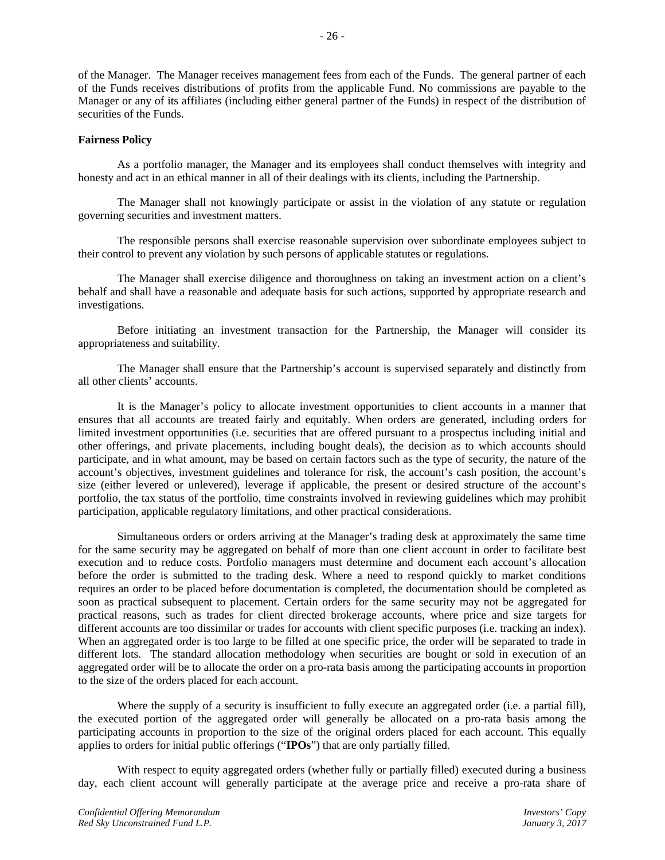of the Manager. The Manager receives management fees from each of the Funds. The general partner of each of the Funds receives distributions of profits from the applicable Fund. No commissions are payable to the Manager or any of its affiliates (including either general partner of the Funds) in respect of the distribution of securities of the Funds.

## **Fairness Policy**

As a portfolio manager, the Manager and its employees shall conduct themselves with integrity and honesty and act in an ethical manner in all of their dealings with its clients, including the Partnership.

The Manager shall not knowingly participate or assist in the violation of any statute or regulation governing securities and investment matters.

The responsible persons shall exercise reasonable supervision over subordinate employees subject to their control to prevent any violation by such persons of applicable statutes or regulations.

The Manager shall exercise diligence and thoroughness on taking an investment action on a client's behalf and shall have a reasonable and adequate basis for such actions, supported by appropriate research and investigations.

Before initiating an investment transaction for the Partnership, the Manager will consider its appropriateness and suitability.

The Manager shall ensure that the Partnership's account is supervised separately and distinctly from all other clients' accounts.

It is the Manager's policy to allocate investment opportunities to client accounts in a manner that ensures that all accounts are treated fairly and equitably. When orders are generated, including orders for limited investment opportunities (i.e. securities that are offered pursuant to a prospectus including initial and other offerings, and private placements, including bought deals), the decision as to which accounts should participate, and in what amount, may be based on certain factors such as the type of security, the nature of the account's objectives, investment guidelines and tolerance for risk, the account's cash position, the account's size (either levered or unlevered), leverage if applicable, the present or desired structure of the account's portfolio, the tax status of the portfolio, time constraints involved in reviewing guidelines which may prohibit participation, applicable regulatory limitations, and other practical considerations.

Simultaneous orders or orders arriving at the Manager's trading desk at approximately the same time for the same security may be aggregated on behalf of more than one client account in order to facilitate best execution and to reduce costs. Portfolio managers must determine and document each account's allocation before the order is submitted to the trading desk. Where a need to respond quickly to market conditions requires an order to be placed before documentation is completed, the documentation should be completed as soon as practical subsequent to placement. Certain orders for the same security may not be aggregated for practical reasons, such as trades for client directed brokerage accounts, where price and size targets for different accounts are too dissimilar or trades for accounts with client specific purposes (i.e. tracking an index). When an aggregated order is too large to be filled at one specific price, the order will be separated to trade in different lots. The standard allocation methodology when securities are bought or sold in execution of an aggregated order will be to allocate the order on a pro-rata basis among the participating accounts in proportion to the size of the orders placed for each account.

Where the supply of a security is insufficient to fully execute an aggregated order (i.e. a partial fill), the executed portion of the aggregated order will generally be allocated on a pro-rata basis among the participating accounts in proportion to the size of the original orders placed for each account. This equally applies to orders for initial public offerings ("**IPOs**") that are only partially filled.

With respect to equity aggregated orders (whether fully or partially filled) executed during a business day, each client account will generally participate at the average price and receive a pro-rata share of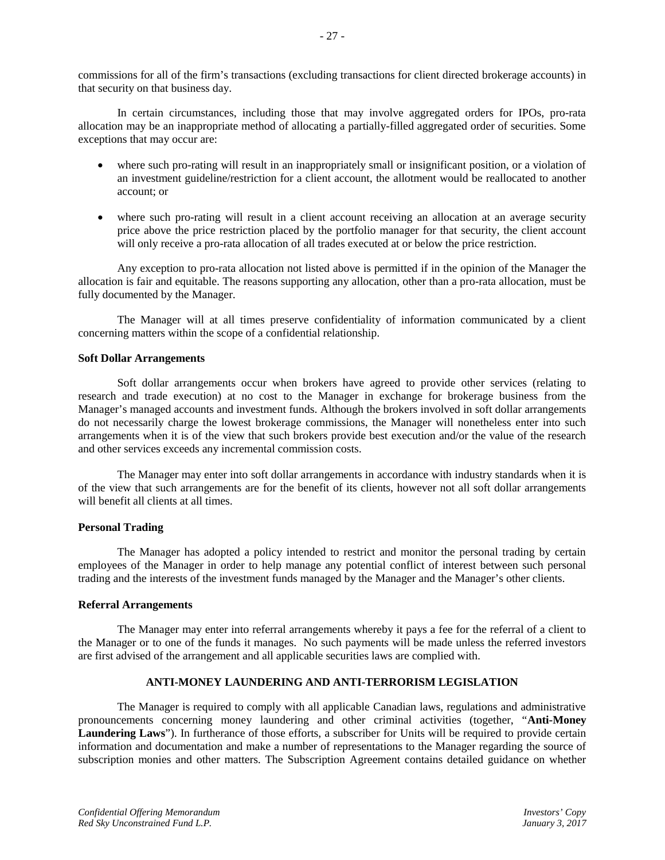commissions for all of the firm's transactions (excluding transactions for client directed brokerage accounts) in that security on that business day.

In certain circumstances, including those that may involve aggregated orders for IPOs, pro-rata allocation may be an inappropriate method of allocating a partially-filled aggregated order of securities. Some exceptions that may occur are:

- where such pro-rating will result in an inappropriately small or insignificant position, or a violation of an investment guideline/restriction for a client account, the allotment would be reallocated to another account; or
- where such pro-rating will result in a client account receiving an allocation at an average security price above the price restriction placed by the portfolio manager for that security, the client account will only receive a pro-rata allocation of all trades executed at or below the price restriction.

Any exception to pro-rata allocation not listed above is permitted if in the opinion of the Manager the allocation is fair and equitable. The reasons supporting any allocation, other than a pro-rata allocation, must be fully documented by the Manager.

The Manager will at all times preserve confidentiality of information communicated by a client concerning matters within the scope of a confidential relationship.

## **Soft Dollar Arrangements**

Soft dollar arrangements occur when brokers have agreed to provide other services (relating to research and trade execution) at no cost to the Manager in exchange for brokerage business from the Manager's managed accounts and investment funds. Although the brokers involved in soft dollar arrangements do not necessarily charge the lowest brokerage commissions, the Manager will nonetheless enter into such arrangements when it is of the view that such brokers provide best execution and/or the value of the research and other services exceeds any incremental commission costs.

The Manager may enter into soft dollar arrangements in accordance with industry standards when it is of the view that such arrangements are for the benefit of its clients, however not all soft dollar arrangements will benefit all clients at all times.

## **Personal Trading**

The Manager has adopted a policy intended to restrict and monitor the personal trading by certain employees of the Manager in order to help manage any potential conflict of interest between such personal trading and the interests of the investment funds managed by the Manager and the Manager's other clients.

## **Referral Arrangements**

The Manager may enter into referral arrangements whereby it pays a fee for the referral of a client to the Manager or to one of the funds it manages. No such payments will be made unless the referred investors are first advised of the arrangement and all applicable securities laws are complied with.

## **ANTI-MONEY LAUNDERING AND ANTI-TERRORISM LEGISLATION**

The Manager is required to comply with all applicable Canadian laws, regulations and administrative pronouncements concerning money laundering and other criminal activities (together, "**Anti-Money Laundering Laws**"). In furtherance of those efforts, a subscriber for Units will be required to provide certain information and documentation and make a number of representations to the Manager regarding the source of subscription monies and other matters. The Subscription Agreement contains detailed guidance on whether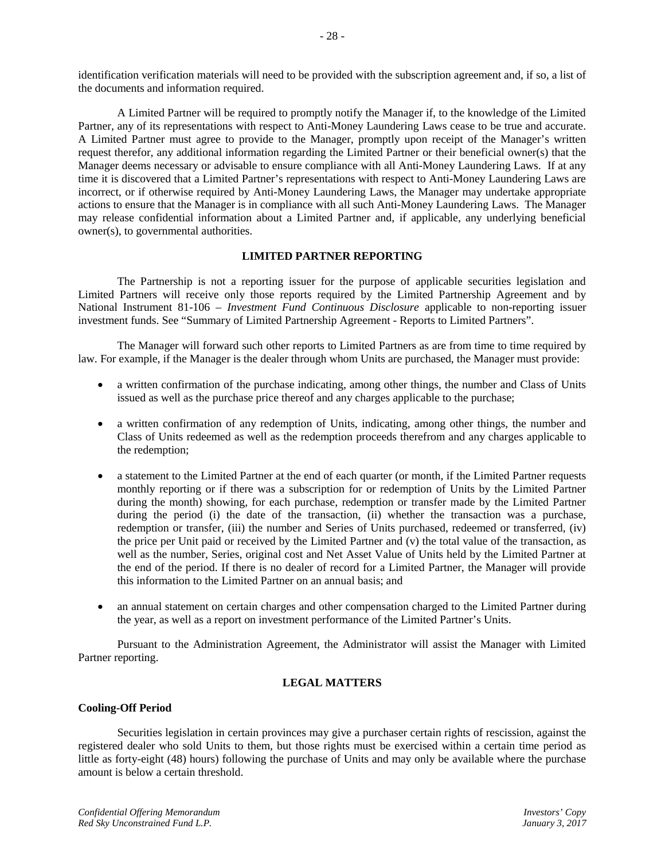identification verification materials will need to be provided with the subscription agreement and, if so, a list of the documents and information required.

A Limited Partner will be required to promptly notify the Manager if, to the knowledge of the Limited Partner, any of its representations with respect to Anti-Money Laundering Laws cease to be true and accurate. A Limited Partner must agree to provide to the Manager, promptly upon receipt of the Manager's written request therefor, any additional information regarding the Limited Partner or their beneficial owner(s) that the Manager deems necessary or advisable to ensure compliance with all Anti-Money Laundering Laws. If at any time it is discovered that a Limited Partner's representations with respect to Anti-Money Laundering Laws are incorrect, or if otherwise required by Anti-Money Laundering Laws, the Manager may undertake appropriate actions to ensure that the Manager is in compliance with all such Anti-Money Laundering Laws. The Manager may release confidential information about a Limited Partner and, if applicable, any underlying beneficial owner(s), to governmental authorities.

## **LIMITED PARTNER REPORTING**

The Partnership is not a reporting issuer for the purpose of applicable securities legislation and Limited Partners will receive only those reports required by the Limited Partnership Agreement and by National Instrument 81-106 – *Investment Fund Continuous Disclosure* applicable to non-reporting issuer investment funds. See "Summary of Limited Partnership Agreement - Reports to Limited Partners".

The Manager will forward such other reports to Limited Partners as are from time to time required by law. For example, if the Manager is the dealer through whom Units are purchased, the Manager must provide:

- a written confirmation of the purchase indicating, among other things, the number and Class of Units issued as well as the purchase price thereof and any charges applicable to the purchase;
- a written confirmation of any redemption of Units, indicating, among other things, the number and Class of Units redeemed as well as the redemption proceeds therefrom and any charges applicable to the redemption;
- a statement to the Limited Partner at the end of each quarter (or month, if the Limited Partner requests monthly reporting or if there was a subscription for or redemption of Units by the Limited Partner during the month) showing, for each purchase, redemption or transfer made by the Limited Partner during the period (i) the date of the transaction, (ii) whether the transaction was a purchase, redemption or transfer, (iii) the number and Series of Units purchased, redeemed or transferred, (iv) the price per Unit paid or received by the Limited Partner and (v) the total value of the transaction, as well as the number, Series, original cost and Net Asset Value of Units held by the Limited Partner at the end of the period. If there is no dealer of record for a Limited Partner, the Manager will provide this information to the Limited Partner on an annual basis; and
- an annual statement on certain charges and other compensation charged to the Limited Partner during the year, as well as a report on investment performance of the Limited Partner's Units.

Pursuant to the Administration Agreement, the Administrator will assist the Manager with Limited Partner reporting.

## **LEGAL MATTERS**

## **Cooling-Off Period**

Securities legislation in certain provinces may give a purchaser certain rights of rescission, against the registered dealer who sold Units to them, but those rights must be exercised within a certain time period as little as forty-eight (48) hours) following the purchase of Units and may only be available where the purchase amount is below a certain threshold.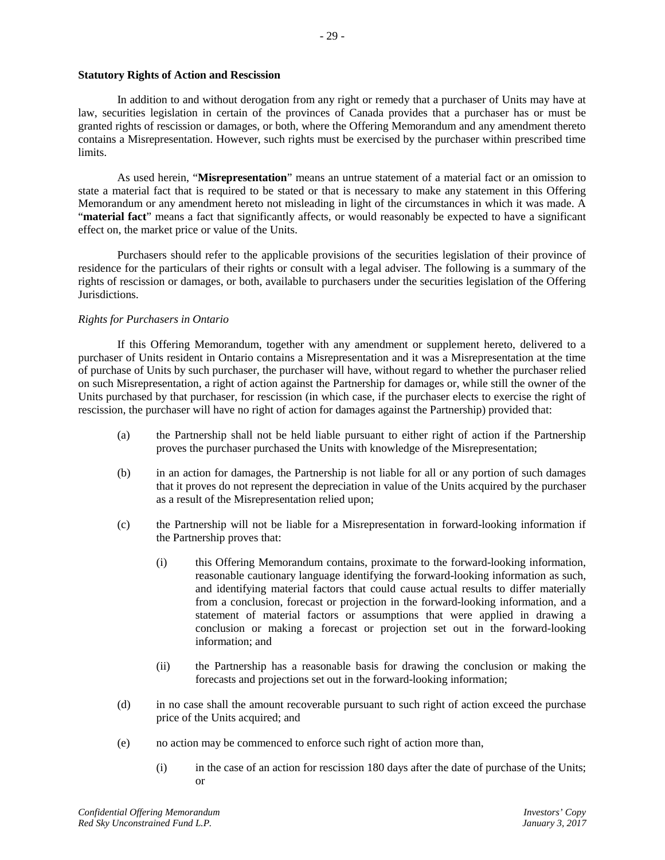## **Statutory Rights of Action and Rescission**

In addition to and without derogation from any right or remedy that a purchaser of Units may have at law, securities legislation in certain of the provinces of Canada provides that a purchaser has or must be granted rights of rescission or damages, or both, where the Offering Memorandum and any amendment thereto contains a Misrepresentation. However, such rights must be exercised by the purchaser within prescribed time limits.

As used herein, "**Misrepresentation**" means an untrue statement of a material fact or an omission to state a material fact that is required to be stated or that is necessary to make any statement in this Offering Memorandum or any amendment hereto not misleading in light of the circumstances in which it was made. A "**material fact**" means a fact that significantly affects, or would reasonably be expected to have a significant effect on, the market price or value of the Units.

Purchasers should refer to the applicable provisions of the securities legislation of their province of residence for the particulars of their rights or consult with a legal adviser. The following is a summary of the rights of rescission or damages, or both, available to purchasers under the securities legislation of the Offering Jurisdictions.

## *Rights for Purchasers in Ontario*

If this Offering Memorandum, together with any amendment or supplement hereto, delivered to a purchaser of Units resident in Ontario contains a Misrepresentation and it was a Misrepresentation at the time of purchase of Units by such purchaser, the purchaser will have, without regard to whether the purchaser relied on such Misrepresentation, a right of action against the Partnership for damages or, while still the owner of the Units purchased by that purchaser, for rescission (in which case, if the purchaser elects to exercise the right of rescission, the purchaser will have no right of action for damages against the Partnership) provided that:

- (a) the Partnership shall not be held liable pursuant to either right of action if the Partnership proves the purchaser purchased the Units with knowledge of the Misrepresentation;
- (b) in an action for damages, the Partnership is not liable for all or any portion of such damages that it proves do not represent the depreciation in value of the Units acquired by the purchaser as a result of the Misrepresentation relied upon;
- (c) the Partnership will not be liable for a Misrepresentation in forward-looking information if the Partnership proves that:
	- (i) this Offering Memorandum contains, proximate to the forward-looking information, reasonable cautionary language identifying the forward-looking information as such, and identifying material factors that could cause actual results to differ materially from a conclusion, forecast or projection in the forward-looking information, and a statement of material factors or assumptions that were applied in drawing a conclusion or making a forecast or projection set out in the forward-looking information; and
	- (ii) the Partnership has a reasonable basis for drawing the conclusion or making the forecasts and projections set out in the forward-looking information;
- (d) in no case shall the amount recoverable pursuant to such right of action exceed the purchase price of the Units acquired; and
- (e) no action may be commenced to enforce such right of action more than,
	- (i) in the case of an action for rescission 180 days after the date of purchase of the Units; or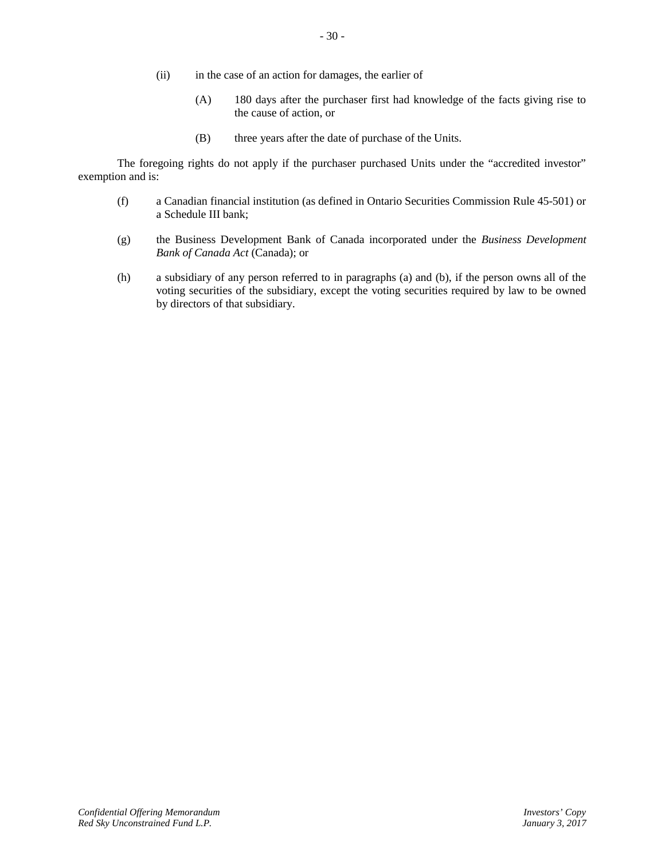- (ii) in the case of an action for damages, the earlier of
	- (A) 180 days after the purchaser first had knowledge of the facts giving rise to the cause of action, or
	- (B) three years after the date of purchase of the Units.

The foregoing rights do not apply if the purchaser purchased Units under the "accredited investor" exemption and is:

- (f) a Canadian financial institution (as defined in Ontario Securities Commission Rule 45-501) or a Schedule III bank;
- (g) the Business Development Bank of Canada incorporated under the *Business Development Bank of Canada Act* (Canada); or
- (h) a subsidiary of any person referred to in paragraphs (a) and (b), if the person owns all of the voting securities of the subsidiary, except the voting securities required by law to be owned by directors of that subsidiary.